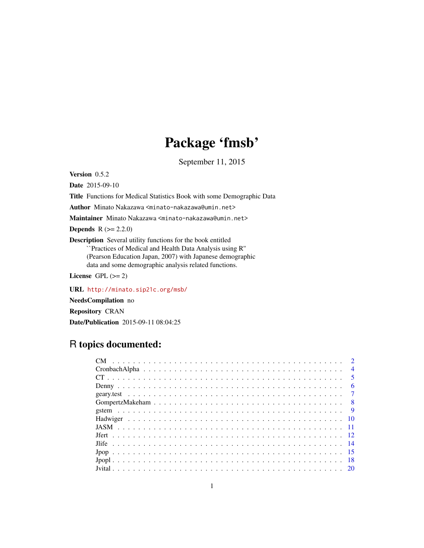# Package 'fmsb'

September 11, 2015

<span id="page-0-0"></span>Version 0.5.2

Date 2015-09-10

Title Functions for Medical Statistics Book with some Demographic Data

Author Minato Nakazawa <minato-nakazawa@umin.net>

Maintainer Minato Nakazawa <minato-nakazawa@umin.net>

**Depends**  $R (= 2.2.0)$ 

Description Several utility functions for the book entitled ``Practices of Medical and Health Data Analysis using R'' (Pearson Education Japan, 2007) with Japanese demographic data and some demographic analysis related functions.

License GPL  $(>= 2)$ 

URL <http://minato.sip21c.org/msb/>

NeedsCompilation no

Repository CRAN

Date/Publication 2015-09-11 08:04:25

# R topics documented:

|  |  |  |  |  |  |  |  |  |  |  |  |  |  |  |  |  |  | $\overline{4}$ |
|--|--|--|--|--|--|--|--|--|--|--|--|--|--|--|--|--|--|----------------|
|  |  |  |  |  |  |  |  |  |  |  |  |  |  |  |  |  |  |                |
|  |  |  |  |  |  |  |  |  |  |  |  |  |  |  |  |  |  | $6^{\circ}$    |
|  |  |  |  |  |  |  |  |  |  |  |  |  |  |  |  |  |  |                |
|  |  |  |  |  |  |  |  |  |  |  |  |  |  |  |  |  |  |                |
|  |  |  |  |  |  |  |  |  |  |  |  |  |  |  |  |  |  |                |
|  |  |  |  |  |  |  |  |  |  |  |  |  |  |  |  |  |  |                |
|  |  |  |  |  |  |  |  |  |  |  |  |  |  |  |  |  |  |                |
|  |  |  |  |  |  |  |  |  |  |  |  |  |  |  |  |  |  |                |
|  |  |  |  |  |  |  |  |  |  |  |  |  |  |  |  |  |  |                |
|  |  |  |  |  |  |  |  |  |  |  |  |  |  |  |  |  |  |                |
|  |  |  |  |  |  |  |  |  |  |  |  |  |  |  |  |  |  |                |
|  |  |  |  |  |  |  |  |  |  |  |  |  |  |  |  |  |  |                |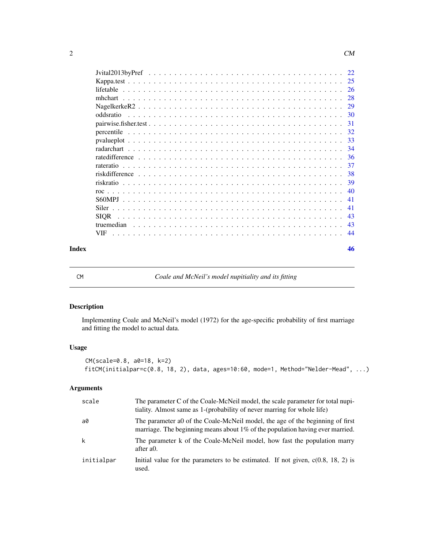| 46 |  |
|----|--|
|    |  |

CM *Coale and McNeil's model nupitiality and its fitting*

radarchart . . . . . . . . . . . . . . . . . . . . . . . . . . . . . . . . . . . . . . . . . . [34](#page-33-0) ratedifference . . . . . . . . . . . . . . . . . . . . . . . . . . . . . . . . . . . . . . . . [36](#page-35-0) rateratio . . . . . . . . . . . . . . . . . . . . . . . . . . . . . . . . . . . . . . . . . . . [37](#page-36-0) riskdifference . . . . . . . . . . . . . . . . . . . . . . . . . . . . . . . . . . . . . . . . [38](#page-37-0) riskratio . . . . . . . . . . . . . . . . . . . . . . . . . . . . . . . . . . . . . . . . . . . [39](#page-38-0) roc . . . . . . . . . . . . . . . . . . . . . . . . . . . . . . . . . . . . . . . . . . . . . . [40](#page-39-0) S60MPJ . . . . . . . . . . . . . . . . . . . . . . . . . . . . . . . . . . . . . . . . . . . [41](#page-40-0) Siler . . . . . . . . . . . . . . . . . . . . . . . . . . . . . . . . . . . . . . . . . . . . . [41](#page-40-0) SIQR . . . . . . . . . . . . . . . . . . . . . . . . . . . . . . . . . . . . . . . . . . . . [43](#page-42-0) truemedian . . . . . . . . . . . . . . . . . . . . . . . . . . . . . . . . . . . . . . . . . [43](#page-42-0) VIF . . . . . . . . . . . . . . . . . . . . . . . . . . . . . . . . . . . . . . . . . . . . . [44](#page-43-0)

#### Description

Implementing Coale and McNeil's model (1972) for the age-specific probability of first marriage and fitting the model to actual data.

#### Usage

```
CM(scale=0.8, a0=18, k=2)
fitCM(initialpar=c(0.8, 18, 2), data, ages=10:60, mode=1, Method="Nelder-Mead", ...)
```
#### Arguments

| scale      | The parameter C of the Coale-McNeil model, the scale parameter for total nupi-<br>tiality. Almost same as 1-(probability of never marring for whole life)         |
|------------|-------------------------------------------------------------------------------------------------------------------------------------------------------------------|
| a0         | The parameter ao of the Coale-McNeil model, the age of the beginning of first<br>marriage. The beginning means about $1\%$ of the population having ever married. |
| k          | The parameter k of the Coale-McNeil model, how fast the population marry<br>after a <sub>0</sub> .                                                                |
| initialpar | Initial value for the parameters to be estimated. If not given, $c(0.8, 18, 2)$ is<br>used.                                                                       |

<span id="page-1-0"></span>2 and 2 cm  $\sim$  CM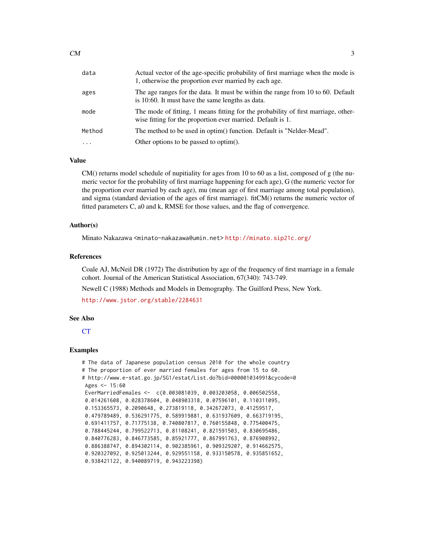<span id="page-2-0"></span>

| data     | Actual vector of the age-specific probability of first marriage when the mode is<br>1, otherwise the proportion ever married by each age.         |
|----------|---------------------------------------------------------------------------------------------------------------------------------------------------|
| ages     | The age ranges for the data. It must be within the range from 10 to 60. Default<br>is 10:60. It must have the same lengths as data.               |
| mode     | The mode of fitting, 1 means fitting for the probability of first marriage, other-<br>wise fitting for the proportion ever married. Default is 1. |
| Method   | The method to be used in optim() function. Default is "Nelder-Mead".                                                                              |
| $\cdots$ | Other options to be passed to optim().                                                                                                            |

#### Value

CM() returns model schedule of nupitiality for ages from 10 to 60 as a list, composed of g (the numeric vector for the probability of first marriage happening for each age), G (the numeric vector for the proportion ever married by each age), mu (mean age of first marriage among total population), and sigma (standard deviation of the ages of first marriage). fitCM() returns the numeric vector of fitted parameters C, a0 and k, RMSE for those values, and the flag of convergence.

# Author(s)

Minato Nakazawa <minato-nakazawa@umin.net> <http://minato.sip21c.org/>

#### References

Coale AJ, McNeil DR (1972) The distribution by age of the frequency of first marriage in a female cohort. Journal of the American Statistical Association, 67(340): 743-749.

Newell C (1988) Methods and Models in Demography. The Guilford Press, New York.

<http://www.jstor.org/stable/2284631>

#### See Also

**[CT](#page-4-1)** 

```
# The data of Japanese population census 2010 for the whole country
# The proportion of ever married females for ages from 15 to 60.
# http://www.e-stat.go.jp/SG1/estat/List.do?bid=000001034991&cycode=0
Ages <-15:60EverMarriedFemales <- c(0.003081039, 0.003203058, 0.006502558,
0.014261608, 0.028378604, 0.048903318, 0.07596101, 0.110311095,
 0.153365573, 0.2090648, 0.273819118, 0.342672073, 0.41259517,
 0.479789489, 0.536291775, 0.589919881, 0.631937609, 0.663719195,
 0.691411757, 0.71775138, 0.740807817, 0.760155848, 0.775400475,
 0.788445244, 0.799522713, 0.81108241, 0.821591503, 0.830695486,
 0.840776283, 0.846773585, 0.85921777, 0.867991763, 0.876908992,
 0.886388747, 0.894302114, 0.902385961, 0.909329207, 0.914662575,
 0.920327092, 0.925013244, 0.929551158, 0.933150578, 0.935851652,
 0.938421122, 0.940089719, 0.943223398)
```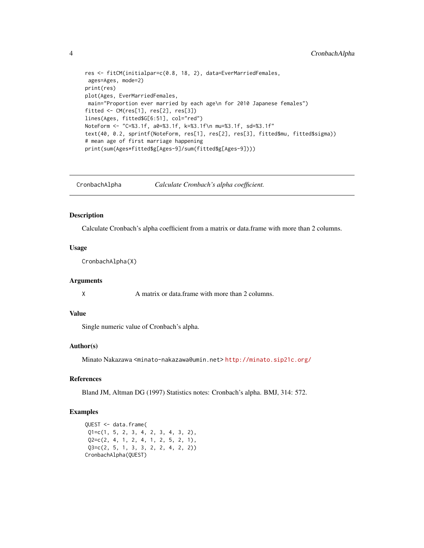```
res <- fitCM(initialpar=c(0.8, 18, 2), data=EverMarriedFemales,
ages=Ages, mode=2)
print(res)
plot(Ages, EverMarriedFemales,
main="Proportion ever married by each age\n for 2010 Japanese females")
fitted <- CM(res[1], res[2], res[3])
lines(Ages, fitted$G[6:51], col="red")
NoteForm <- "C=%3.1f, a0=%3.1f, k=%3.1f\n mu=%3.1f, sd=%3.1f"
text(40, 0.2, sprintf(NoteForm, res[1], res[2], res[3], fitted$mu, fitted$sigma))
# mean age of first marriage happening
print(sum(Ages*fitted$g[Ages-9]/sum(fitted$g[Ages-9])))
```
CronbachAlpha *Calculate Cronbach's alpha coefficient.*

#### Description

Calculate Cronbach's alpha coefficient from a matrix or data.frame with more than 2 columns.

#### Usage

CronbachAlpha(X)

#### Arguments

X A matrix or data.frame with more than 2 columns.

# Value

Single numeric value of Cronbach's alpha.

#### Author(s)

Minato Nakazawa <minato-nakazawa@umin.net> <http://minato.sip21c.org/>

#### References

Bland JM, Altman DG (1997) Statistics notes: Cronbach's alpha. BMJ, 314: 572.

# Examples

QUEST <- data.frame( Q1=c(1, 5, 2, 3, 4, 2, 3, 4, 3, 2), Q2=c(2, 4, 1, 2, 4, 1, 2, 5, 2, 1), Q3=c(2, 5, 1, 3, 3, 2, 2, 4, 2, 2)) CronbachAlpha(QUEST)

<span id="page-3-0"></span>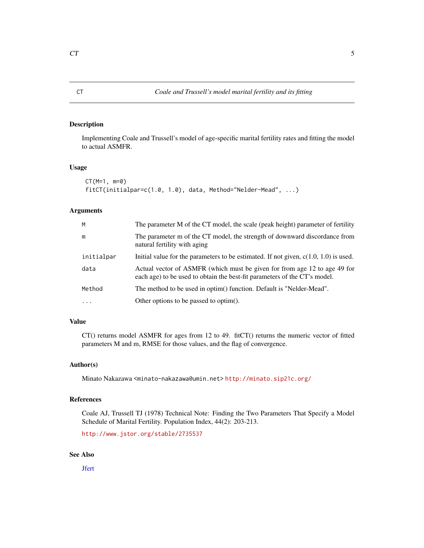<span id="page-4-1"></span><span id="page-4-0"></span>Implementing Coale and Trussell's model of age-specific marital fertility rates and fitting the model to actual ASMFR.

#### Usage

```
CT(M=1, m=0)
fitCT(initialpar=c(1.0, 1.0), data, Method="Nelder-Mead", ...)
```
# Arguments

| М          | The parameter M of the CT model, the scale (peak height) parameter of fertility                                                                        |
|------------|--------------------------------------------------------------------------------------------------------------------------------------------------------|
| m          | The parameter m of the CT model, the strength of downward discordance from<br>natural fertility with aging                                             |
| initialpar | Initial value for the parameters to be estimated. If not given, $c(1.0, 1.0)$ is used.                                                                 |
| data       | Actual vector of ASMFR (which must be given for from age 12 to age 49 for<br>each age) to be used to obtain the best-fit parameters of the CT's model. |
| Method     | The method to be used in optim() function. Default is "Nelder-Mead".                                                                                   |
| $\cdots$   | Other options to be passed to optim().                                                                                                                 |

# Value

CT() returns model ASMFR for ages from 12 to 49. fitCT() returns the numeric vector of fitted parameters M and m, RMSE for those values, and the flag of convergence.

# Author(s)

Minato Nakazawa <minato-nakazawa@umin.net> <http://minato.sip21c.org/>

# References

Coale AJ, Trussell TJ (1978) Technical Note: Finding the Two Parameters That Specify a Model Schedule of Marital Fertility. Population Index, 44(2): 203-213.

<http://www.jstor.org/stable/2735537>

# See Also

**J**fert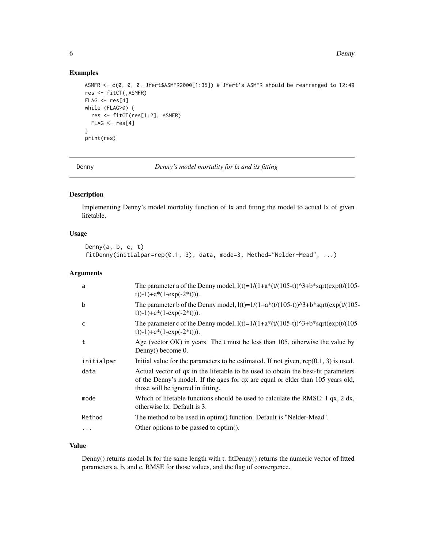# Examples

```
ASMFR <- c(0, 0, 0, Jfert$ASMFR2000[1:35]) # Jfert's ASMFR should be rearranged to 12:49
res <- fitCT(,ASMFR)
FLAG < - res[4]while (FLAG>0) {
  res <- fitCT(res[1:2], ASMFR)
  FLAG < - res[4]}
print(res)
```
Denny *Denny's model mortality for lx and its fitting*

# Description

Implementing Denny's model mortality function of lx and fitting the model to actual lx of given lifetable.

# Usage

```
Denny(a, b, c, t)
fitDenny(initialpar=rep(0.1, 3), data, mode=3, Method="Nelder-Mead", ...)
```
#### Arguments

| a          | The parameter a of the Denny model, $l(t)=1/(1+a*(t/(105-t))^3+ b*sqrt(cxt)(t/(105-t))^2)$<br>t))-1)+c*(1-exp(-2*t))).                                                                                    |
|------------|-----------------------------------------------------------------------------------------------------------------------------------------------------------------------------------------------------------|
| b          | The parameter b of the Denny model, $l(t)=1/(1+a*(t/(105-t))^3+ b^*sqrt(cxp(t/(105-t))^2))$<br>t))-1)+c*(1-exp(-2*t))).                                                                                   |
| C          | The parameter c of the Denny model, $l(t)=1/(1+a*(t/(105-t))^3+ b^*sqrt(cxp(t/(105-t))^3))$<br>t))-1)+c*(1-exp(-2*t))).                                                                                   |
| t          | Age (vector OK) in years. The t must be less than 105, otherwise the value by<br>Denny() become 0.                                                                                                        |
| initialpar | Initial value for the parameters to be estimated. If not given, $rep(0.1, 3)$ is used.                                                                                                                    |
| data       | Actual vector of qx in the lifetable to be used to obtain the best-fit parameters<br>of the Denny's model. If the ages for qx are equal or elder than 105 years old,<br>those will be ignored in fitting. |
| mode       | Which of lifetable functions should be used to calculate the RMSE: 1 qx, 2 dx,<br>otherwise lx. Default is 3.                                                                                             |
| Method     | The method to be used in optim() function. Default is "Nelder-Mead".                                                                                                                                      |
| $\cdots$   | Other options to be passed to optim().                                                                                                                                                                    |

# Value

Denny() returns model lx for the same length with t. fitDenny() returns the numeric vector of fitted parameters a, b, and c, RMSE for those values, and the flag of convergence.

<span id="page-5-0"></span>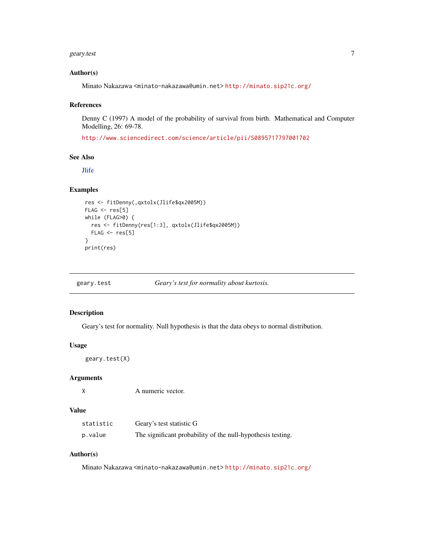#### <span id="page-6-0"></span>geary.test 7

#### Author(s)

Minato Nakazawa <minato-nakazawa@umin.net> <http://minato.sip21c.org/>

# References

Denny C (1997) A model of the probability of survival from birth. Mathematical and Computer Modelling, 26: 69-78.

<http://www.sciencedirect.com/science/article/pii/S0895717797001702>

#### See Also

**[Jlife](#page-13-1)** 

# Examples

```
res <- fitDenny(,qxtolx(Jlife$qx2005M))
FLAG < - res[5]while (FLAG>0) {
  res <- fitDenny(res[1:3], qxtolx(Jlife$qx2005M))
  FLAG < - res[5]}
print(res)
```
geary.test *Geary's test for normality about kurtosis.*

#### Description

Geary's test for normality. Null hypothesis is that the data obeys to normal distribution.

#### Usage

```
geary.test(X)
```
#### Arguments

X A numeric vector.

#### Value

| statistic | Geary's test statistic G                                    |
|-----------|-------------------------------------------------------------|
| p.value   | The significant probability of the null-hypothesis testing. |

# Author(s)

Minato Nakazawa <minato-nakazawa@umin.net> <http://minato.sip21c.org/>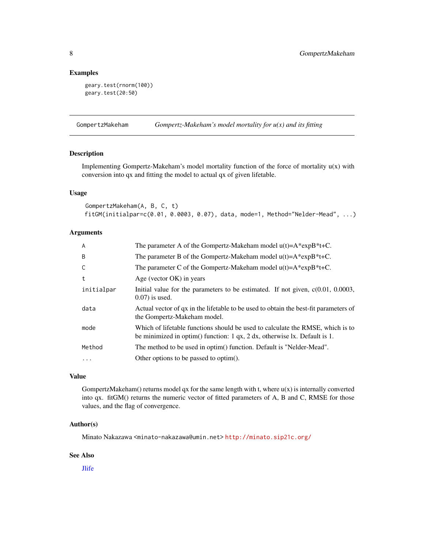# <span id="page-7-0"></span>Examples

```
geary.test(rnorm(100))
geary.test(20:50)
```
GompertzMakeham *Gompertz-Makeham's model mortality for u(x) and its fitting*

# Description

Implementing Gompertz-Makeham's model mortality function of the force of mortality u(x) with conversion into qx and fitting the model to actual qx of given lifetable.

#### Usage

```
GompertzMakeham(A, B, C, t)
fitGM(initialpar=c(0.01, 0.0003, 0.07), data, mode=1, Method="Nelder-Mead", ...)
```
# Arguments

| $\overline{A}$ | The parameter A of the Gompertz-Makeham model $u(t) = A^*expB^*t + C$ .                                                                                         |
|----------------|-----------------------------------------------------------------------------------------------------------------------------------------------------------------|
| B              | The parameter B of the Gompertz-Makeham model $u(t) = A*expB*t+C$ .                                                                                             |
| C              | The parameter C of the Gompertz-Makeham model $u(t) = A*expB*t+C$ .                                                                                             |
| t              | Age (vector $OK$ ) in years                                                                                                                                     |
| initialpar     | Initial value for the parameters to be estimated. If not given, $c(0.01, 0.0003,$<br>$(0.07)$ is used.                                                          |
| data           | Actual vector of qx in the lifetable to be used to obtain the best-fit parameters of<br>the Gompertz-Makeham model.                                             |
| mode           | Which of lifetable functions should be used to calculate the RMSE, which is to<br>be minimized in optim() function: $1$ qx, $2$ dx, otherwise lx. Default is 1. |
| Method         | The method to be used in optim() function. Default is "Nelder-Mead".                                                                                            |
| $\ddots$       | Other options to be passed to optim().                                                                                                                          |

#### Value

GompertzMakeham() returns model qx for the same length with t, where  $u(x)$  is internally converted into qx. fitGM() returns the numeric vector of fitted parameters of A, B and C, RMSE for those values, and the flag of convergence.

#### Author(s)

Minato Nakazawa <minato-nakazawa@umin.net> <http://minato.sip21c.org/>

# See Also

[Jlife](#page-13-1)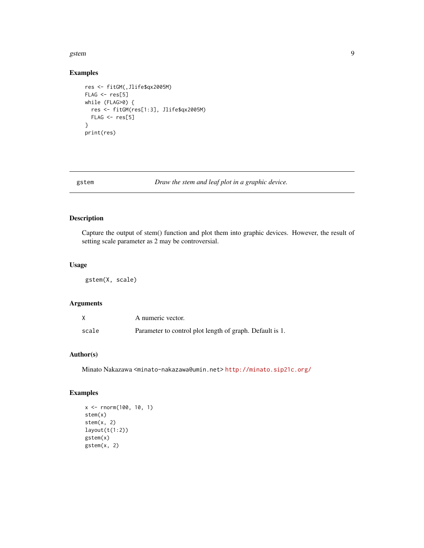#### <span id="page-8-0"></span>gstem 2008 by the set of the set of the set of the set of the set of the set of the set of the set of the set of the set of the set of the set of the set of the set of the set of the set of the set of the set of the set of

# Examples

```
res <- fitGM(,Jlife$qx2005M)
FLAG < - res[5]while (FLAG>0) {
 res <- fitGM(res[1:3], Jlife$qx2005M)
 FLAG < - res[5]}
print(res)
```
gstem *Draw the stem and leaf plot in a graphic device.*

#### Description

Capture the output of stem() function and plot them into graphic devices. However, the result of setting scale parameter as 2 may be controversial.

#### Usage

gstem(X, scale)

# Arguments

|       | A numeric vector.                                        |
|-------|----------------------------------------------------------|
| scale | Parameter to control plot length of graph. Default is 1. |

# Author(s)

Minato Nakazawa <minato-nakazawa@umin.net> <http://minato.sip21c.org/>

```
x <- rnorm(100, 10, 1)
stem(x)
stem(x, 2)
layout(t(1:2))
gstem(x)
gstem(x, 2)
```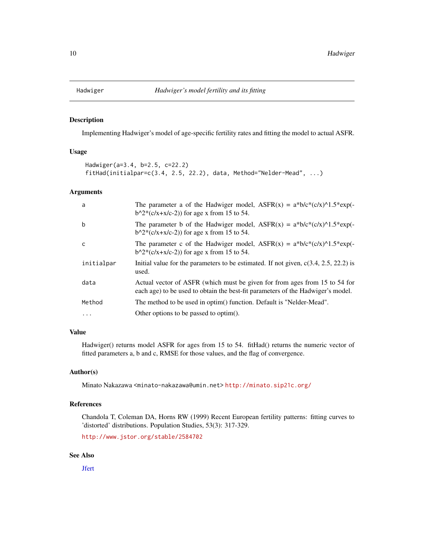<span id="page-9-0"></span>

Implementing Hadwiger's model of age-specific fertility rates and fitting the model to actual ASFR.

### Usage

```
Hadwiger(a=3.4, b=2.5, c=22.2)
fitHad(initialpar=c(3.4, 2.5, 22.2), data, Method="Nelder-Mead", ...)
```
#### Arguments

| a          | The parameter a of the Hadwiger model, $ASFR(x) = a^*b/c^*(c/x)^{1.5*}exp(-$<br>$b^2*(c/x + x/c-2)$ for age x from 15 to 54.                                  |
|------------|---------------------------------------------------------------------------------------------------------------------------------------------------------------|
| b          | The parameter b of the Hadwiger model, $ASFR(x) = a^*b/c^*(c/x)^{1.5*}exp(-$<br>$b^2*(c/x + x/c-2)$ for age x from 15 to 54.                                  |
| C          | The parameter c of the Hadwiger model, $ASFR(x) = a^*b/c^*(c/x)^{\Lambda}1.5^*exp(-\Lambda)$<br>$b^{2*}(c/x+x/c-2)$ for age x from 15 to 54.                  |
| initialpar | Initial value for the parameters to be estimated. If not given, $c(3.4, 2.5, 22.2)$ is<br>used.                                                               |
| data       | Actual vector of ASFR (which must be given for from ages from 15 to 54 for<br>each age) to be used to obtain the best-fit parameters of the Hadwiger's model. |
| Method     | The method to be used in optim() function. Default is "Nelder-Mead".                                                                                          |
| $\cdots$   | Other options to be passed to optim().                                                                                                                        |

## Value

Hadwiger() returns model ASFR for ages from 15 to 54. fitHad() returns the numeric vector of fitted parameters a, b and c, RMSE for those values, and the flag of convergence.

# Author(s)

Minato Nakazawa <minato-nakazawa@umin.net> <http://minato.sip21c.org/>

# References

Chandola T, Coleman DA, Horns RW (1999) Recent European fertility patterns: fitting curves to 'distorted' distributions. Population Studies, 53(3): 317-329.

<http://www.jstor.org/stable/2584702>

# See Also

**J**fert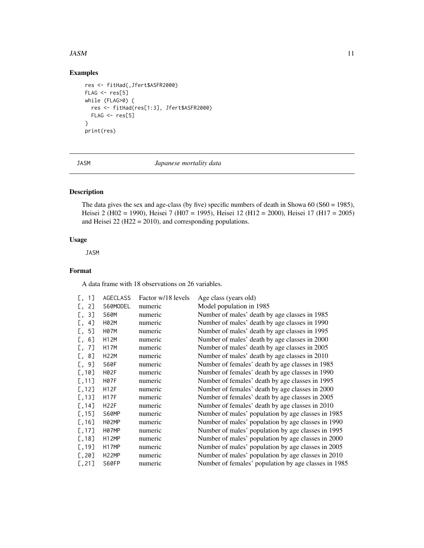#### <span id="page-10-0"></span> $JASM$  11

# Examples

```
res <- fitHad(,Jfert$ASFR2000)
FLAG < - res[5]while (FLAG>0) {
  res <- fitHad(res[1:3], Jfert$ASFR2000)
  FLAG \leftarrow res[5]}
print(res)
```
JASM *Japanese mortality data*

# Description

The data gives the sex and age-class (by five) specific numbers of death in Showa 60 (S60 = 1985), Heisei 2 (H02 = 1990), Heisei 7 (H07 = 1995), Heisei 12 (H12 = 2000), Heisei 17 (H17 = 2005) and Heisei 22 (H22 = 2010), and corresponding populations.

# Usage

JASM

# Format

A data frame with 18 observations on 26 variables.

| [, 1]    | <b>AGECLASS</b>    | Factor w/18 levels | Age class (years old)                                |
|----------|--------------------|--------------------|------------------------------------------------------|
| 2]<br>L, | S60MODEL           | numeric            | Model population in 1985                             |
| 3]<br>L, | <b>S60M</b>        | numeric            | Number of males' death by age classes in 1985        |
| 4]<br>L, | H02M               | numeric            | Number of males' death by age classes in 1990        |
| 5]<br>Ε, | H07M               | numeric            | Number of males' death by age classes in 1995        |
| [ , 6]   | <b>H12M</b>        | numeric            | Number of males' death by age classes in 2000        |
| 7]<br>L, | <b>H17M</b>        | numeric            | Number of males' death by age classes in 2005        |
| 8]<br>L, | H22M               | numeric            | Number of males' death by age classes in 2010        |
| 9]<br>Ε, | S60F               | numeric            | Number of females' death by age classes in 1985      |
| [,10]    | H02F               | numeric            | Number of females' death by age classes in 1990      |
| [, 11]   | H07F               | numeric            | Number of females' death by age classes in 1995      |
| [, 12]   | <b>H12F</b>        | numeric            | Number of females' death by age classes in 2000      |
| [, 13]   | <b>H17F</b>        | numeric            | Number of females' death by age classes in 2005      |
| [, 14]   | H <sub>2</sub> 2F  | numeric            | Number of females' death by age classes in 2010      |
| [, 15]   | S60MP              | numeric            | Number of males' population by age classes in 1985   |
| [, 16]   | H02MP              | numeric            | Number of males' population by age classes in 1990   |
| [, 17]   | H07MP              | numeric            | Number of males' population by age classes in 1995   |
| [, 18]   | H <sub>12</sub> MP | numeric            | Number of males' population by age classes in 2000   |
| [, 19]   | H17MP              | numeric            | Number of males' population by age classes in 2005   |
| [, 20]   | H <sub>22</sub> MP | numeric            | Number of males' population by age classes in 2010   |
| [, 21]   | S60FP              | numeric            | Number of females' population by age classes in 1985 |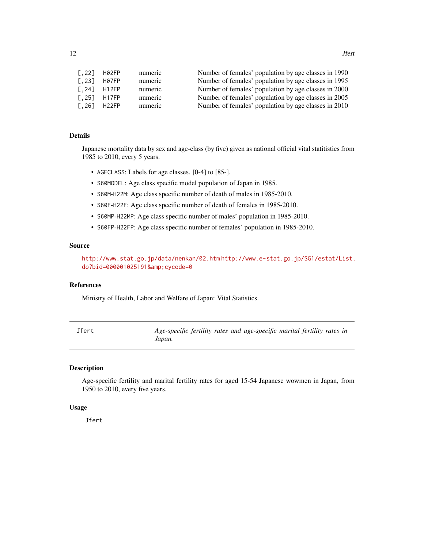<span id="page-11-0"></span>

| $\lceil .22 \rceil$ | H02FP | numeric | Number of females' population by age classes in 1990 |
|---------------------|-------|---------|------------------------------------------------------|
| $\lceil .23 \rceil$ | H07FP | numeric | Number of females' population by age classes in 1995 |
| $\lceil .24 \rceil$ | H12FP | numeric | Number of females' population by age classes in 2000 |
| $\lceil .25 \rceil$ | H17FP | numeric | Number of females' population by age classes in 2005 |
| $\lceil .26 \rceil$ | H22FP | numeric | Number of females' population by age classes in 2010 |

#### Details

Japanese mortality data by sex and age-class (by five) given as national official vital statitistics from 1985 to 2010, every 5 years.

- AGECLASS: Labels for age classes. [0-4] to [85-].
- S60MODEL: Age class specific model population of Japan in 1985.
- S60M-H22M: Age class specific number of death of males in 1985-2010.
- S60F-H22F: Age class specific number of death of females in 1985-2010.
- S60MP-H22MP: Age class specific number of males' population in 1985-2010.
- S60FP-H22FP: Age class specific number of females' population in 1985-2010.

#### Source

<http://www.stat.go.jp/data/nenkan/02.htm> [http://www.e-stat.go.jp/SG1/estat/List.](http://www.e-stat.go.jp/SG1/estat/List.do?bid=000001025191&cycode=0) [do?bid=000001025191&cycode=0](http://www.e-stat.go.jp/SG1/estat/List.do?bid=000001025191&cycode=0)

#### References

Ministry of Health, Labor and Welfare of Japan: Vital Statistics.

<span id="page-11-1"></span>

| Jfert | Age-specific fertility rates and age-specific marital fertility rates in |  |  |
|-------|--------------------------------------------------------------------------|--|--|
|       | Japan.                                                                   |  |  |

# Description

Age-specific fertility and marital fertility rates for aged 15-54 Japanese wowmen in Japan, from 1950 to 2010, every five years.

#### Usage

Jfert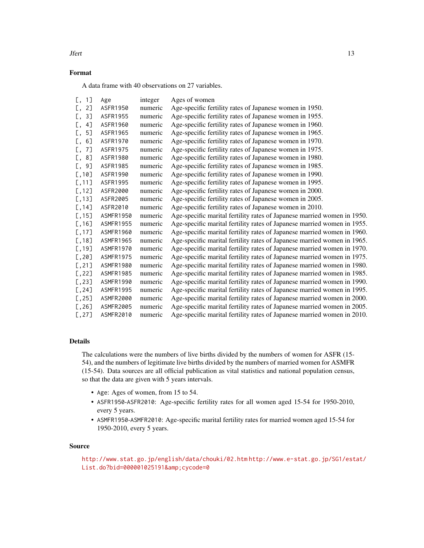#### Format

A data frame with 40 observations on 27 variables.

| [ , 1]   | Age              | integer | Ages of women                                                           |
|----------|------------------|---------|-------------------------------------------------------------------------|
| [ , 2]   | ASFR1950         | numeric | Age-specific fertility rates of Japanese women in 1950.                 |
| 3]<br>Ε. | ASFR1955         | numeric | Age-specific fertility rates of Japanese women in 1955.                 |
| [ , 4]   | ASFR1960         | numeric | Age-specific fertility rates of Japanese women in 1960.                 |
| 5]<br>Ε, | ASFR1965         | numeric | Age-specific fertility rates of Japanese women in 1965.                 |
| [0, 6]   | ASFR1970         | numeric | Age-specific fertility rates of Japanese women in 1970.                 |
| 7]<br>E. | ASFR1975         | numeric | Age-specific fertility rates of Japanese women in 1975.                 |
| [, 8]    | ASFR1980         | numeric | Age-specific fertility rates of Japanese women in 1980.                 |
| $[$ , 9] | ASFR1985         | numeric | Age-specific fertility rates of Japanese women in 1985.                 |
| [, 10]   | ASFR1990         | numeric | Age-specific fertility rates of Japanese women in 1990.                 |
| [, 11]   | ASFR1995         | numeric | Age-specific fertility rates of Japanese women in 1995.                 |
| [, 12]   | ASFR2000         | numeric | Age-specific fertility rates of Japanese women in 2000.                 |
| [, 13]   | ASFR2005         | numeric | Age-specific fertility rates of Japanese women in 2005.                 |
| [, 14]   | ASFR2010         | numeric | Age-specific fertility rates of Japanese women in 2010.                 |
| [, 15]   | ASMFR1950        | numeric | Age-specific marital fertility rates of Japanese married women in 1950. |
| [, 16]   | ASMFR1955        | numeric | Age-specific marital fertility rates of Japanese married women in 1955. |
| [, 17]   | ASMFR1960        | numeric | Age-specific marital fertility rates of Japanese married women in 1960. |
| [, 18]   | ASMFR1965        | numeric | Age-specific marital fertility rates of Japanese married women in 1965. |
| [.19]    | ASMFR1970        | numeric | Age-specific marital fertility rates of Japanese married women in 1970. |
| [, 20]   | ASMFR1975        | numeric | Age-specific marital fertility rates of Japanese married women in 1975. |
| [, 21]   | ASMFR1980        | numeric | Age-specific marital fertility rates of Japanese married women in 1980. |
| [, 22]   | ASMFR1985        | numeric | Age-specific marital fertility rates of Japanese married women in 1985. |
| [, 23]   | ASMFR1990        | numeric | Age-specific marital fertility rates of Japanese married women in 1990. |
| [, 24]   | ASMFR1995        | numeric | Age-specific marital fertility rates of Japanese married women in 1995. |
| [, 25]   | ASMFR2000        | numeric | Age-specific marital fertility rates of Japanese married women in 2000. |
| [, 26]   | <b>ASMFR2005</b> | numeric | Age-specific marital fertility rates of Japanese married women in 2005. |
| [, 27]   | <b>ASMFR2010</b> | numeric | Age-specific marital fertility rates of Japanese married women in 2010. |

# Details

The calculations were the numbers of live births divided by the numbers of women for ASFR (15- 54), and the numbers of legitimate live births divided by the numbers of married women for ASMFR (15-54). Data sources are all official publication as vital statistics and national population census, so that the data are given with 5 years intervals.

- Age: Ages of women, from 15 to 54.
- ASFR1950-ASFR2010: Age-specific fertility rates for all women aged 15-54 for 1950-2010, every 5 years.
- ASMFR1950-ASMFR2010: Age-specific marital fertility rates for married women aged 15-54 for 1950-2010, every 5 years.

# Source

```
http://www.stat.go.jp/english/data/chouki/02.htm http://www.e-stat.go.jp/SG1/estat/
List.do?bid=000001025191&cycode=0
```
**Second 13** June 13 June 13 June 13 June 13 June 13 June 13 June 13 June 13 June 13 June 13 June 13 June 13 June 14 June 14 June 14 June 14 June 14 June 14 June 14 June 14 June 14 June 14 June 14 June 14 June 14 June 14 Ju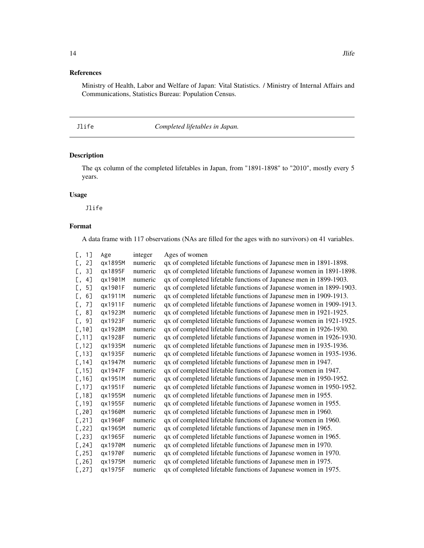# <span id="page-13-0"></span>References

Ministry of Health, Labor and Welfare of Japan: Vital Statistics. / Ministry of Internal Affairs and Communications, Statistics Bureau: Population Census.

# <span id="page-13-1"></span>Jlife *Completed lifetables in Japan.*

# Description

The qx column of the completed lifetables in Japan, from "1891-1898" to "2010", mostly every 5 years.

#### Usage

Jlife

# Format

A data frame with 117 observations (NAs are filled for the ages with no survivors) on 41 variables.

| [ , 1]   | Age     | integer | Ages of women                                                       |
|----------|---------|---------|---------------------------------------------------------------------|
| 2]<br>Ε. | qx1895M | numeric | qx of completed lifetable functions of Japanese men in 1891-1898.   |
| 3]<br>Ε, | qx1895F | numeric | qx of completed lifetable functions of Japanese women in 1891-1898. |
| 4]<br>Γ, | gx1901M | numeric | qx of completed lifetable functions of Japanese men in 1899-1903.   |
| 5]<br>Ε, | qx1901F | numeric | qx of completed lifetable functions of Japanese women in 1899-1903. |
| 6]<br>Ε. | qx1911M | numeric | qx of completed lifetable functions of Japanese men in 1909-1913.   |
| 7]<br>Γ, | qx1911F | numeric | qx of completed lifetable functions of Japanese women in 1909-1913. |
| [, 8]    | qx1923M | numeric | qx of completed lifetable functions of Japanese men in 1921-1925.   |
| 9]<br>Ε. | qx1923F | numeric | qx of completed lifetable functions of Japanese women in 1921-1925. |
| [, 10]   | gx1928M | numeric | qx of completed lifetable functions of Japanese men in 1926-1930.   |
| [, 11]   | qx1928F | numeric | qx of completed lifetable functions of Japanese women in 1926-1930. |
| [, 12]   | qx1935M | numeric | qx of completed lifetable functions of Japanese men in 1935-1936.   |
| [, 13]   | qx1935F | numeric | qx of completed lifetable functions of Japanese women in 1935-1936. |
| [, 14]   | qx1947M | numeric | qx of completed lifetable functions of Japanese men in 1947.        |
| [, 15]   | qx1947F | numeric | qx of completed lifetable functions of Japanese women in 1947.      |
| [, 16]   | qx1951M | numeric | qx of completed lifetable functions of Japanese men in 1950-1952.   |
| [, 17]   | qx1951F | numeric | qx of completed lifetable functions of Japanese women in 1950-1952. |
| [, 18]   | qx1955M | numeric | qx of completed lifetable functions of Japanese men in 1955.        |
| [, 19]   | qx1955F | numeric | qx of completed lifetable functions of Japanese women in 1955.      |
| [, 20]   | qx1960M | numeric | qx of completed lifetable functions of Japanese men in 1960.        |
| [, 21]   | qx1960F | numeric | qx of completed lifetable functions of Japanese women in 1960.      |
| [, 22]   | qx1965M | numeric | qx of completed lifetable functions of Japanese men in 1965.        |
| [, 23]   | qx1965F | numeric | qx of completed lifetable functions of Japanese women in 1965.      |
| [, 24]   | qx1970M | numeric | qx of completed lifetable functions of Japanese men in 1970.        |
| [, 25]   | gx1970F | numeric | qx of completed lifetable functions of Japanese women in 1970.      |
| [, 26]   | gx1975M | numeric | qx of completed lifetable functions of Japanese men in 1975.        |
| [, 27]   | qx1975F | numeric | qx of completed lifetable functions of Japanese women in 1975.      |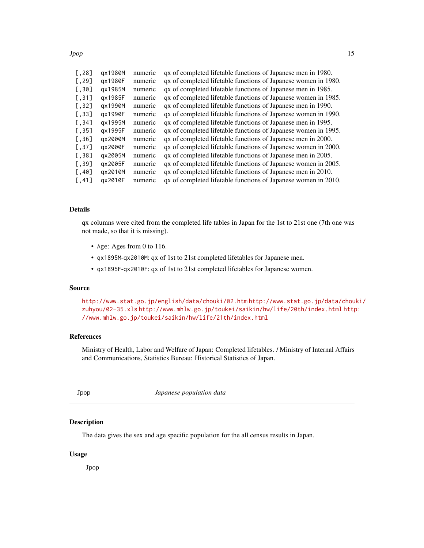<span id="page-14-0"></span>Jpop 15

| [, 28]                | qx1980M | numeric | qx of completed lifetable functions of Japanese men in 1980.   |
|-----------------------|---------|---------|----------------------------------------------------------------|
| [, 29]                | gx1980F | numeric | qx of completed lifetable functions of Japanese women in 1980. |
| [0.30]                | gx1985M | numeric | qx of completed lifetable functions of Japanese men in 1985.   |
| [, 31]                | gx1985F | numeric | qx of completed lifetable functions of Japanese women in 1985. |
| [, 32]                | gx1990M | numeric | qx of completed lifetable functions of Japanese men in 1990.   |
| [, 33]                | gx1990F | numeric | qx of completed lifetable functions of Japanese women in 1990. |
| [, 34]                | gx1995M | numeric | qx of completed lifetable functions of Japanese men in 1995.   |
| [, 35]                | gx1995F | numeric | qx of completed lifetable functions of Japanese women in 1995. |
| [0.36]                | gx2000M | numeric | qx of completed lifetable functions of Japanese men in 2000.   |
| [, 37]                | gx2000F | numeric | qx of completed lifetable functions of Japanese women in 2000. |
| [, 38]                | gx2005M | numeric | qx of completed lifetable functions of Japanese men in 2005.   |
| $\lbrack .39 \rbrack$ | gx2005F | numeric | qx of completed lifetable functions of Japanese women in 2005. |
| [, 40]                | gx2010M | numeric | qx of completed lifetable functions of Japanese men in 2010.   |
| [, 41]                | ax2010F | numeric | qx of completed lifetable functions of Japanese women in 2010. |

# Details

qx columns were cited from the completed life tables in Japan for the 1st to 21st one (7th one was not made, so that it is missing).

- Age: Ages from 0 to 116.
- qx1895M-qx2010M: qx of 1st to 21st completed lifetables for Japanese men.
- qx1895F-qx2010F: qx of 1st to 21st completed lifetables for Japanese women.

#### Source

<http://www.stat.go.jp/english/data/chouki/02.htm> [http://www.stat.go.jp/data/chou](http://www.stat.go.jp/data/chouki/zuhyou/02-35.xls)ki/ [zuhyou/02-35.xls](http://www.stat.go.jp/data/chouki/zuhyou/02-35.xls) <http://www.mhlw.go.jp/toukei/saikin/hw/life/20th/index.html> [http](http://www.mhlw.go.jp/toukei/saikin/hw/life/21th/index.html): [//www.mhlw.go.jp/toukei/saikin/hw/life/21th/index.html](http://www.mhlw.go.jp/toukei/saikin/hw/life/21th/index.html)

# References

Ministry of Health, Labor and Welfare of Japan: Completed lifetables. / Ministry of Internal Affairs and Communications, Statistics Bureau: Historical Statistics of Japan.

Jpop *Japanese population data*

# Description

The data gives the sex and age specific population for the all census results in Japan.

#### Usage

Jpop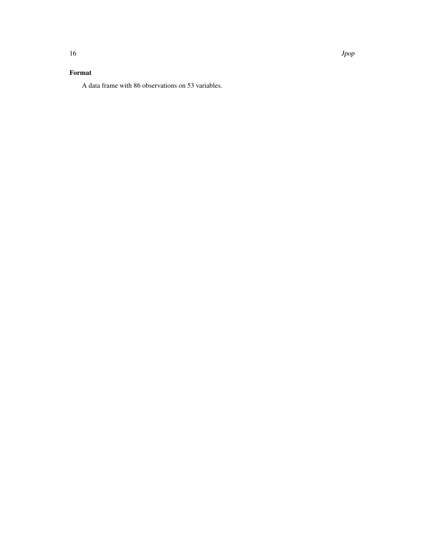A data frame with 86 observations on 53 variables.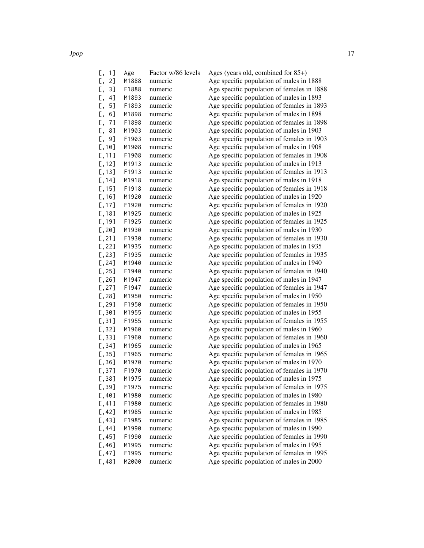| $[, 1]$   | Age   | Factor w/86 levels | Ages (years old, combined for $85+$ )      |
|-----------|-------|--------------------|--------------------------------------------|
| Γ,<br>2]  | M1888 | numeric            | Age specific population of males in 1888   |
| Γ,<br>3]  | F1888 | numeric            | Age specific population of females in 1888 |
| 4]<br>Γ,  | M1893 | numeric            | Age specific population of males in 1893   |
| Γ,<br>5]  | F1893 | numeric            | Age specific population of females in 1893 |
| Γ,<br>6]  | M1898 | numeric            | Age specific population of males in 1898   |
| Γ,<br>7]  | F1898 | numeric            | Age specific population of females in 1898 |
| 8]<br>Γ,  | M1903 | numeric            | Age specific population of males in 1903   |
| Γ,<br>9]  | F1903 | numeric            | Age specific population of females in 1903 |
| [, 10]    | M1908 | numeric            | Age specific population of males in 1908   |
| [,11]     | F1908 | numeric            | Age specific population of females in 1908 |
| $[, 12]$  | M1913 | numeric            | Age specific population of males in 1913   |
| $[,$ 13]  | F1913 | numeric            | Age specific population of females in 1913 |
| [, 14]    | M1918 | numeric            | Age specific population of males in 1918   |
| [, 15]    | F1918 | numeric            | Age specific population of females in 1918 |
| [, 16]    | M1920 | numeric            | Age specific population of males in 1920   |
| [, 17]    | F1920 | numeric            | Age specific population of females in 1920 |
| [, 18]    | M1925 | numeric            | Age specific population of males in 1925   |
| [, 19]    | F1925 | numeric            | Age specific population of females in 1925 |
| [, 20]    | M1930 | numeric            | Age specific population of males in 1930   |
| [, 21]    | F1930 | numeric            | Age specific population of females in 1930 |
| $[, 22]$  | M1935 | numeric            | Age specific population of males in 1935   |
| $[ , 23]$ | F1935 | numeric            | Age specific population of females in 1935 |
| [, 24]    | M1940 | numeric            | Age specific population of males in 1940   |
| [, 25]    | F1940 | numeric            | Age specific population of females in 1940 |
| [, 26]    | M1947 | numeric            | Age specific population of males in 1947   |
| [, 27]    | F1947 | numeric            | Age specific population of females in 1947 |
| [, 28]    | M1950 | numeric            | Age specific population of males in 1950   |
| [, 29]    | F1950 | numeric            | Age specific population of females in 1950 |
| [, 30]    | M1955 | numeric            | Age specific population of males in 1955   |
| [, 31]    | F1955 | numeric            | Age specific population of females in 1955 |
| [, 32]    | M1960 | numeric            | Age specific population of males in 1960   |
| [, 33]    | F1960 | numeric            | Age specific population of females in 1960 |
| [, 34]    | M1965 | numeric            | Age specific population of males in 1965   |
| [, 35]    | F1965 | numeric            | Age specific population of females in 1965 |
| [, 36]    | M1970 | numeric            | Age specific population of males in 1970   |
| [, 37]    | F1970 | numeric            | Age specific population of females in 1970 |
| [, 38]    | M1975 | numeric            | Age specific population of males in 1975   |
| [, 39]    | F1975 | numeric            | Age specific population of females in 1975 |
| [,40]     | M1980 | numeric            | Age specific population of males in 1980   |
| [,41]     | F1980 | numeric            | Age specific population of females in 1980 |
| [,42]     | M1985 | numeric            | Age specific population of males in 1985   |
| [,43]     | F1985 | numeric            | Age specific population of females in 1985 |
| [,44]     | M1990 | numeric            | Age specific population of males in 1990   |
| [, 45]    | F1990 | numeric            | Age specific population of females in 1990 |
| [,46]     | M1995 | numeric            | Age specific population of males in 1995   |
| [, 47]    | F1995 | numeric            | Age specific population of females in 1995 |
| [,48]     | M2000 | numeric            | Age specific population of males in 2000   |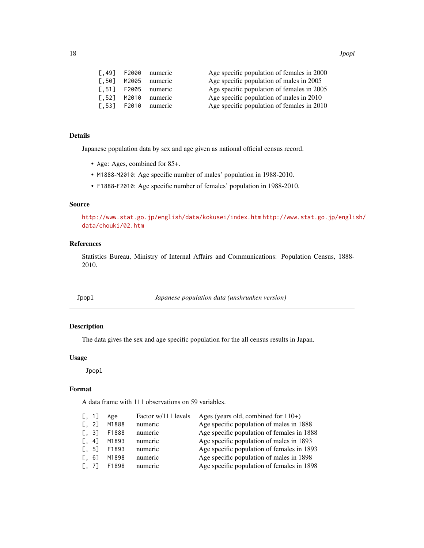<span id="page-17-0"></span>

| Г.491         | F2000 | numeric | Age specific population of females in 2000 |
|---------------|-------|---------|--------------------------------------------|
| <b>T.501</b>  | M2005 | numeric | Age specific population of males in 2005   |
| $\Gamma$ .511 | F2005 | numeric | Age specific population of females in 2005 |
| $\sqrt{521}$  | M2010 | numeric | Age specific population of males in 2010   |
| $\Gamma$ .531 | F2010 | numeric | Age specific population of females in 2010 |
|               |       |         |                                            |

# Details

Japanese population data by sex and age given as national official census record.

- Age: Ages, combined for 85+.
- M1888-M2010: Age specific number of males' population in 1988-2010.
- F1888-F2010: Age specific number of females' population in 1988-2010.

#### Source

<http://www.stat.go.jp/english/data/kokusei/index.htm> [http://www.stat.go.jp/engli](http://www.stat.go.jp/english/data/chouki/02.htm)sh/ [data/chouki/02.htm](http://www.stat.go.jp/english/data/chouki/02.htm)

# References

Statistics Bureau, Ministry of Internal Affairs and Communications: Population Census, 1888- 2010.

Jpopl *Japanese population data (unshrunken version)*

# Description

The data gives the sex and age specific population for the all census results in Japan.

## Usage

Jpopl

#### Format

A data frame with 111 observations on 59 variables.

| [, 1]                                              | Age   | Factor w/111 levels | Ages (years old, combined for $110+$ )     |
|----------------------------------------------------|-------|---------------------|--------------------------------------------|
| $\left[ \begin{matrix} 1 & 2 \end{matrix} \right]$ | M1888 | numeric             | Age specific population of males in 1888   |
| $\left[ \begin{matrix} 1 & 3 \end{matrix} \right]$ | F1888 | numeric             | Age specific population of females in 1888 |
| $\left[ \begin{array}{cc} 4 \end{array} \right]$   | M1893 | numeric             | Age specific population of males in 1893   |
| $\left[ \begin{matrix} 1 & 5 \end{matrix} \right]$ | F1893 | numeric             | Age specific population of females in 1893 |
| 6]<br>Г.                                           | M1898 | numeric             | Age specific population of males in 1898   |
| L. 71                                              | F1898 | numeric             | Age specific population of females in 1898 |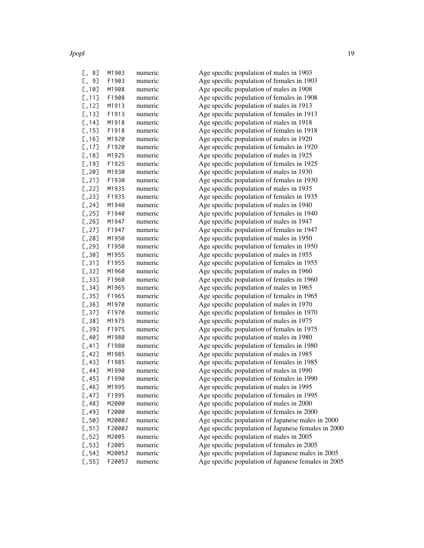Jpopl 19

| L,<br>ιŏ     | <b>MIYOS</b> | numeric |
|--------------|--------------|---------|
| 9]<br>С,     | F1903        | numeric |
| [,10]        | M1908        | numeric |
| 11]<br>[,    | F1908        | numeric |
| $12$ ]<br>[, | M1913        | numeric |
| $13$ ]<br>С, | F1913        | numeric |
| 14]          | M1918        | numeric |
| С,           | F1918        |         |
| $15$ ]<br>С, |              | numeric |
| $16$ ]<br>С, | M1920        | numeric |
| $17$ ]<br>С, | F1920        | numeric |
| $18$ ]<br>С, | M1925        | numeric |
| $19$ ]<br>С, | F1925        | numeric |
| [, 20]       | M1930        | numeric |
| $[$ , 21]    | F1930        | numeric |
| $[$ ,22]     | M1935        | numeric |
| [, 23]       | F1935        | numeric |
| [, 24]       | M1940        | numeric |
| [, 25]       | F1940        | numeric |
| [, 26]       | M1947        | numeric |
|              | F1947        | numeric |
| [, 27]       |              |         |
| [,28]        | M1950        | numeric |
| [, 29]       | F1950        | numeric |
| [, 30]       | M1955        | numeric |
| [, 31]       | F1955        | numeric |
| [, 32]       | M1960        | numeric |
| [, 33]       | F1960        | numeric |
| [, 34]       | M1965        | numeric |
| [, 35]       | F1965        | numeric |
| [, 36]       | M1970        | numeric |
| [, 37]       | F1970        | numeric |
| [, 38]       | M1975        | numeric |
| [, 39]       | F1975        | numeric |
| [,40]        | M1980        | numeric |
| [,41]        | F1980        | numeric |
|              | M1985        |         |
| [,42]        |              | numeric |
| [,43]        | F1985        | numeric |
| [,44]        | M1990        | numeric |
| [, 45]       | F1990        | numeric |
| [,46]        | M1995        | numeric |
| $[ , 47]$    | F1995        | numeric |
| [,48]        | M2000        | numeric |
| $[$ ,49]     | F2000        | numeric |
| [, 50]       | M2000J       | numeric |
| [, 51]       | F2000J       | numeric |
| [, 52]       | M2005        | numeric |
| [, 53]       | F2005        | numeric |
| $[, 54]$     | M2005J       | numeric |
| [.55]        | F2005J       | numeric |
|              |              |         |

M1903 numeric Age specific population of males in 1903 Age specific population of females in 1903 Age specific population of males in 1908 Age specific population of females in 1908 Age specific population of males in 1913 Age specific population of females in 1913 Age specific population of males in 1918 Age specific population of females in 1918 Age specific population of males in 1920 Age specific population of females in 1920 Age specific population of males in 1925 Age specific population of females in 1925 Age specific population of males in 1930 Age specific population of females in 1930 Age specific population of males in 1935 Age specific population of females in 1935 Age specific population of males in 1940 Age specific population of females in 1940 Age specific population of males in 1947 Age specific population of females in 1947 Age specific population of males in 1950 Age specific population of females in 1950 Age specific population of males in 1955 Age specific population of females in 1955 Age specific population of males in 1960 Age specific population of females in 1960 Age specific population of males in 1965 Age specific population of females in 1965 Age specific population of males in 1970 Age specific population of females in 1970 Age specific population of males in 1975 Age specific population of females in 1975 Age specific population of males in 1980 Age specific population of females in 1980 Age specific population of males in 1985 Age specific population of females in 1985 Age specific population of males in 1990 Age specific population of females in 1990 Age specific population of males in 1995 Age specific population of females in 1995 Age specific population of males in 2000 Age specific population of females in 2000 Age specific population of Japanese males in 2000 Age specific population of Japanese females in 2000 Age specific population of males in 2005 Age specific population of females in 2005 Age specific population of Japanese males in 2005 Age specific population of Japanese females in 2005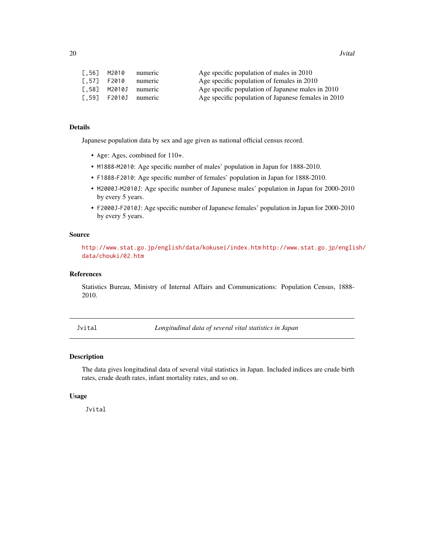<span id="page-19-0"></span>

| [.56] M2010 | numeric                            | Age specific population of males in 2010            |
|-------------|------------------------------------|-----------------------------------------------------|
| [.57] F2010 | numeric                            | Age specific population of females in 2010          |
|             | $\lceil .58 \rceil$ M2010J numeric | Age specific population of Japanese males in 2010   |
|             | $\lceil .59 \rceil$ F2010J numeric | Age specific population of Japanese females in 2010 |

#### Details

Japanese population data by sex and age given as national official census record.

- Age: Ages, combined for 110+.
- M1888-M2010: Age specific number of males' population in Japan for 1888-2010.
- F1888-F2010: Age specific number of females' population in Japan for 1888-2010.
- M2000J-M2010J: Age specific number of Japanese males' population in Japan for 2000-2010 by every 5 years.
- F2000J-F2010J: Age specific number of Japanese females' population in Japan for 2000-2010 by every 5 years.

#### Source

<http://www.stat.go.jp/english/data/kokusei/index.htm> [http://www.stat.go.jp/engli](http://www.stat.go.jp/english/data/chouki/02.htm)sh/ [data/chouki/02.htm](http://www.stat.go.jp/english/data/chouki/02.htm)

#### References

Statistics Bureau, Ministry of Internal Affairs and Communications: Population Census, 1888- 2010.

Jvital *Longitudinal data of several vital statistics in Japan*

#### Description

The data gives longitudinal data of several vital statistics in Japan. Included indices are crude birth rates, crude death rates, infant mortality rates, and so on.

#### Usage

Jvital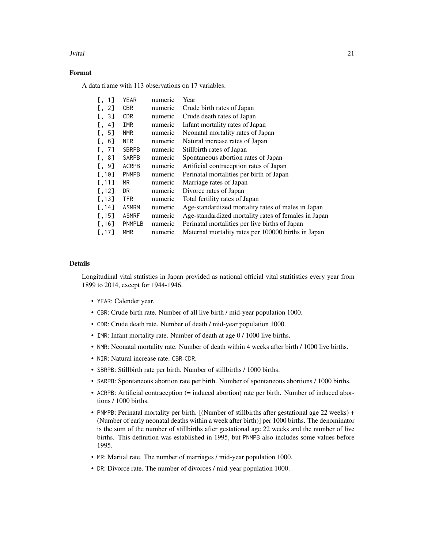#### Jvital 21

# Format

A data frame with 113 observations on 17 variables.

| 11<br>Ε.             | YEAR          | numeric | Year                                                 |
|----------------------|---------------|---------|------------------------------------------------------|
| 2]<br>L.             | CBR           | numeric | Crude birth rates of Japan                           |
| 3]<br>L.             | CDR.          | numeric | Crude death rates of Japan                           |
| 4]<br>L.             | IMR           | numeric | Infant mortality rates of Japan                      |
| 5]<br>L.             | <b>NMR</b>    | numeric | Neonatal mortality rates of Japan                    |
| 6]<br>L.             | NIR           | numeric | Natural increase rates of Japan                      |
| 7]<br>L.             | <b>SBRPB</b>  | numeric | Stillbirth rates of Japan                            |
| 8]<br>L,             | <b>SARPB</b>  | numeric | Spontaneous abortion rates of Japan                  |
| $\left[ .\right.$ 9] | ACRPB         | numeric | Artificial contraception rates of Japan              |
| [0.10]               | <b>PNMPB</b>  | numeric | Perinatal mortalities per birth of Japan             |
| [0, 11]              | MR.           | numeric | Marriage rates of Japan                              |
| [, 12]               | DR.           | numeric | Divorce rates of Japan                               |
| [, 13]               | <b>TFR</b>    | numeric | Total fertility rates of Japan                       |
| [, 14]               | <b>ASMRM</b>  | numeric | Age-standardized mortality rates of males in Japan   |
| [, 15]               | <b>ASMRF</b>  | numeric | Age-standardized mortality rates of females in Japan |
| [, 16]               | <b>PNMPLB</b> | numeric | Perinatal mortalities per live births of Japan       |
| [, 17]               | <b>MMR</b>    | numeric | Maternal mortality rates per 100000 births in Japan  |
|                      |               |         |                                                      |

# Details

Longitudinal vital statistics in Japan provided as national official vital statitistics every year from 1899 to 2014, except for 1944-1946.

- YEAR: Calender year.
- CBR: Crude birth rate. Number of all live birth / mid-year population 1000.
- CDR: Crude death rate. Number of death / mid-year population 1000.
- IMR: Infant mortality rate. Number of death at age 0 / 1000 live births.
- NMR: Neonatal mortality rate. Number of death within 4 weeks after birth / 1000 live births.
- NIR: Natural increase rate. CBR-CDR.
- SBRPB: Stillbirth rate per birth. Number of stillbirths / 1000 births.
- SARPB: Spontaneous abortion rate per birth. Number of spontaneous abortions / 1000 births.
- ACRPB: Artificial contraception (= induced abortion) rate per birth. Number of induced abortions / 1000 births.
- PNMPB: Perinatal mortality per birth. [(Number of stillbirths after gestational age 22 weeks) + (Number of early neonatal deaths within a week after birth)] per 1000 births. The denominator is the sum of the number of stillbirths after gestational age 22 weeks and the number of live births. This definition was established in 1995, but PNMPB also includes some values before 1995.
- MR: Marital rate. The number of marriages / mid-year population 1000.
- DR: Divorce rate. The number of divorces / mid-year population 1000.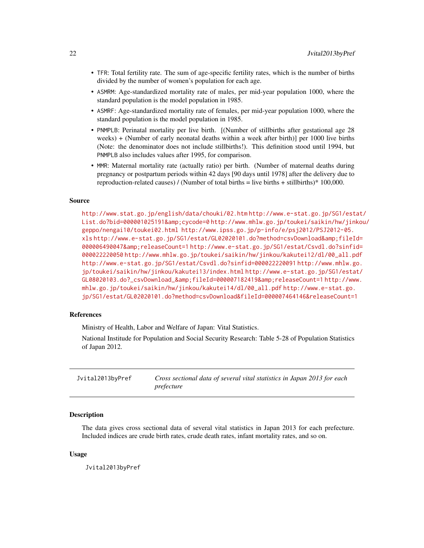- <span id="page-21-0"></span>• TFR: Total fertility rate. The sum of age-specific fertility rates, which is the number of births divided by the number of women's population for each age.
- ASMRM: Age-standardized mortality rate of males, per mid-year population 1000, where the standard population is the model population in 1985.
- ASMRF: Age-standardized mortality rate of females, per mid-year population 1000, where the standard population is the model population in 1985.
- PNMPLB: Perinatal mortality per live birth. [(Number of stillbirths after gestational age 28 weeks) + (Number of early neonatal deaths within a week after birth)] per 1000 live births (Note: the denominator does not include stillbirths!). This definition stood until 1994, but PNMPLB also includes values after 1995, for comparison.
- MMR: Maternal mortality rate (actually ratio) per birth. (Number of maternal deaths during pregnancy or postpartum periods within 42 days [90 days until 1978] after the delivery due to reproduction-related causes) / (Number of total births = live births + stillbirths)\* 100,000.

#### Source

<http://www.stat.go.jp/english/data/chouki/02.htm> [http://www.e-stat.go.jp/SG1/est](http://www.e-stat.go.jp/SG1/estat/List.do?bid=000001025191&cycode=0)at/ [List.do?bid=000001025191&cycode=0](http://www.e-stat.go.jp/SG1/estat/List.do?bid=000001025191&cycode=0) [http://www.mhlw.go.jp/toukei/saikin/hw/jin](http://www.mhlw.go.jp/toukei/saikin/hw/jinkou/geppo/nengai10/toukei02.html)kou/ [geppo/nengai10/toukei02.html](http://www.mhlw.go.jp/toukei/saikin/hw/jinkou/geppo/nengai10/toukei02.html) [http://www.ipss.go.jp/p-info/e/psj2012/PSJ2012-05.](http://www.ipss.go.jp/p-info/e/psj2012/PSJ2012-05.xls) [xls](http://www.ipss.go.jp/p-info/e/psj2012/PSJ2012-05.xls) [http://www.e-stat.go.jp/SG1/estat/GL02020101.do?method=csvDownload&fileI](http://www.e-stat.go.jp/SG1/estat/GL02020101.do?method=csvDownload&fileId=000006490047&releaseCount=1)d= [000006490047&releaseCount=1](http://www.e-stat.go.jp/SG1/estat/GL02020101.do?method=csvDownload&fileId=000006490047&releaseCount=1) [http://www.e-stat.go.jp/SG1/estat/Csvdl.do?sinfi](http://www.e-stat.go.jp/SG1/estat/Csvdl.do?sinfid=000022220050)d= [000022220050](http://www.e-stat.go.jp/SG1/estat/Csvdl.do?sinfid=000022220050) [http://www.mhlw.go.jp/toukei/saikin/hw/jinkou/kakutei12/dl/00\\_all.pdf](http://www.mhlw.go.jp/toukei/saikin/hw/jinkou/kakutei12/dl/00_all.pdf) <http://www.e-stat.go.jp/SG1/estat/Csvdl.do?sinfid=000022220091> [http://www.mhlw.g](http://www.mhlw.go.jp/toukei/saikin/hw/jinkou/kakutei13/index.html)o. [jp/toukei/saikin/hw/jinkou/kakutei13/index.html](http://www.mhlw.go.jp/toukei/saikin/hw/jinkou/kakutei13/index.html) [http://www.e-stat.go.jp/SG1/esta](http://www.e-stat.go.jp/SG1/estat/GL08020103.do?_csvDownload_&fileId=000007182419&releaseCount=1)t/ [GL08020103.do?\\_csvDownload\\_&fileId=000007182419&releaseCount=1](http://www.e-stat.go.jp/SG1/estat/GL08020103.do?_csvDownload_&fileId=000007182419&releaseCount=1) [http://ww](http://www.mhlw.go.jp/toukei/saikin/hw/jinkou/kakutei14/dl/00_all.pdf)w. [mhlw.go.jp/toukei/saikin/hw/jinkou/kakutei14/dl/00\\_all.pdf](http://www.mhlw.go.jp/toukei/saikin/hw/jinkou/kakutei14/dl/00_all.pdf) [http://www.e-stat.go.](http://www.e-stat.go.jp/SG1/estat/GL02020101.do?method=csvDownload&fileId=000007464146&releaseCount=1) [jp/SG1/estat/GL02020101.do?method=csvDownload&fileId=000007464146&releaseCount=1](http://www.e-stat.go.jp/SG1/estat/GL02020101.do?method=csvDownload&fileId=000007464146&releaseCount=1)

#### References

Ministry of Health, Labor and Welfare of Japan: Vital Statistics.

National Institude for Population and Social Security Research: Table 5-28 of Population Statistics of Japan 2012.

Jvital2013byPref *Cross sectional data of several vital statistics in Japan 2013 for each prefecture*

# **Description**

The data gives cross sectional data of several vital statistics in Japan 2013 for each prefecture. Included indices are crude birth rates, crude death rates, infant mortality rates, and so on.

#### Usage

Jvital2013byPref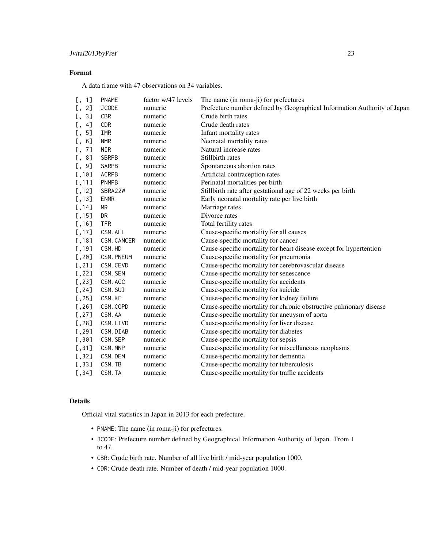# Format

A data frame with 47 observations on 34 variables.

| 1]<br>Γ,    | <b>PNAME</b> | factor w/47 levels | The name (in roma-ji) for prefectures                                    |
|-------------|--------------|--------------------|--------------------------------------------------------------------------|
| 2]<br>Γ,    | JCODE        | numeric            | Prefecture number defined by Geographical Information Authority of Japan |
| 3]<br>Ε,    | CBR          | numeric            | Crude birth rates                                                        |
| 4]<br>Γ,    | CDR          | numeric            | Crude death rates                                                        |
| 5]<br>Γ,    | IMR          | numeric            | Infant mortality rates                                                   |
| 6]<br>Γ,    | <b>NMR</b>   | numeric            | Neonatal mortality rates                                                 |
| 7]          | <b>NIR</b>   | numeric            | Natural increase rates                                                   |
| 8]<br>Γ,    | <b>SBRPB</b> | numeric            | Stillbirth rates                                                         |
| $9$ ]<br>Γ, | SARPB        | numeric            | Spontaneous abortion rates                                               |
| [,10]       | <b>ACRPB</b> | numeric            | Artificial contraception rates                                           |
| [, 11]      | <b>PNMPB</b> | numeric            | Perinatal mortalities per birth                                          |
| [,12]       | SBRA22W      | numeric            | Stillbirth rate after gestational age of 22 weeks per birth              |
| [, 13]      | <b>ENMR</b>  | numeric            | Early neonatal mortality rate per live birth                             |
| [, 14]      | MR           | numeric            | Marriage rates                                                           |
| [, 15]      | DR           | numeric            | Divorce rates                                                            |
| [, 16]      | <b>TFR</b>   | numeric            | Total fertility rates                                                    |
| [, 17]      | CSM. ALL     | numeric            | Cause-specific mortality for all causes                                  |
| [, 18]      | CSM. CANCER  | numeric            | Cause-specific mortality for cancer                                      |
| [, 19]      | CSM.HD       | numeric            | Cause-specific mortality for heart disease except for hypertention       |
| [, 20]      | CSM. PNEUM   | numeric            | Cause-specific mortality for pneumonia                                   |
| [, 21]      | CSM.CEVD     | numeric            | Cause-specific mortality for cerebrovascular disease                     |
| [, 22]      | CSM. SEN     | numeric            | Cause-specific mortality for senescence                                  |
| [, 23]      | CSM.ACC      | numeric            | Cause-specific mortality for accidents                                   |
| [, 24]      | CSM. SUI     | numeric            | Cause-specific mortality for suicide                                     |
| [, 25]      | CSM.KF       | numeric            | Cause-specific mortality for kidney failure                              |
| [, 26]      | CSM.COPD     | numeric            | Cause-specific mortality for chronic obstructive pulmonary disease       |
| [, 27]      | CSM.AA       | numeric            | Cause-specific mortality for aneuysm of aorta                            |
| [, 28]      | CSM.LIVD     | numeric            | Cause-specific mortality for liver disease                               |
| [, 29]      | CSM.DIAB     | numeric            | Cause-specific mortality for diabetes                                    |
| [, 30]      | CSM. SEP     | numeric            | Cause-specific mortality for sepsis                                      |
| [, 31]      | CSM.MNP      | numeric            | Cause-specific mortality for miscellaneous neoplasms                     |
| [, 32]      | CSM.DEM      | numeric            | Cause-specific mortality for dementia                                    |
| [, 33]      | CSM.TB       | numeric            | Cause-specific mortality for tuberculosis                                |
| [, 34]      | CSM.TA       | numeric            | Cause-specific mortality for traffic accidents                           |
|             |              |                    |                                                                          |

# Details

Official vital statistics in Japan in 2013 for each prefecture.

- PNAME: The name (in roma-ji) for prefectures.
- JCODE: Prefecture number defined by Geographical Information Authority of Japan. From 1 to 47.
- CBR: Crude birth rate. Number of all live birth / mid-year population 1000.
- CDR: Crude death rate. Number of death / mid-year population 1000.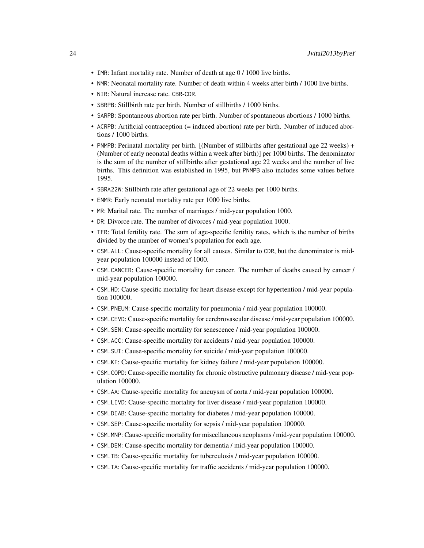- IMR: Infant mortality rate. Number of death at age 0 / 1000 live births.
- NMR: Neonatal mortality rate. Number of death within 4 weeks after birth / 1000 live births.
- NIR: Natural increase rate. CBR-CDR.
- SBRPB: Stillbirth rate per birth. Number of stillbirths / 1000 births.
- SARPB: Spontaneous abortion rate per birth. Number of spontaneous abortions / 1000 births.
- ACRPB: Artificial contraception (= induced abortion) rate per birth. Number of induced abortions / 1000 births.
- PNMPB: Perinatal mortality per birth. [(Number of stillbirths after gestational age 22 weeks) + (Number of early neonatal deaths within a week after birth)] per 1000 births. The denominator is the sum of the number of stillbirths after gestational age 22 weeks and the number of live births. This definition was established in 1995, but PNMPB also includes some values before 1995.
- SBRA22W: Stillbirth rate after gestational age of 22 weeks per 1000 births.
- ENMR: Early neonatal mortality rate per 1000 live births.
- MR: Marital rate. The number of marriages / mid-year population 1000.
- DR: Divorce rate. The number of divorces / mid-year population 1000.
- TFR: Total fertility rate. The sum of age-specific fertility rates, which is the number of births divided by the number of women's population for each age.
- CSM.ALL: Cause-specific mortality for all causes. Similar to CDR, but the denominator is midyear population 100000 instead of 1000.
- CSM.CANCER: Cause-specific mortality for cancer. The number of deaths caused by cancer / mid-year population 100000.
- CSM.HD: Cause-specific mortality for heart disease except for hypertention / mid-year population 100000.
- CSM.PNEUM: Cause-specific mortality for pneumonia / mid-year population 100000.
- CSM.CEVD: Cause-specific mortality for cerebrovascular disease / mid-year population 100000.
- CSM.SEN: Cause-specific mortality for senescence / mid-year population 100000.
- CSM.ACC: Cause-specific mortality for accidents / mid-year population 100000.
- CSM.SUI: Cause-specific mortality for suicide / mid-year population 100000.
- CSM.KF: Cause-specific mortality for kidney failure / mid-year population 100000.
- CSM.COPD: Cause-specific mortality for chronic obstructive pulmonary disease / mid-year population 100000.
- CSM.AA: Cause-specific mortality for aneuysm of aorta / mid-year population 100000.
- CSM.LIVD: Cause-specific mortality for liver disease / mid-year population 100000.
- CSM.DIAB: Cause-specific mortality for diabetes / mid-year population 100000.
- CSM.SEP: Cause-specific mortality for sepsis / mid-year population 100000.
- CSM.MNP: Cause-specific mortality for miscellaneous neoplasms / mid-year population 100000.
- CSM.DEM: Cause-specific mortality for dementia / mid-year population 100000.
- CSM.TB: Cause-specific mortality for tuberculosis / mid-year population 100000.
- CSM.TA: Cause-specific mortality for traffic accidents / mid-year population 100000.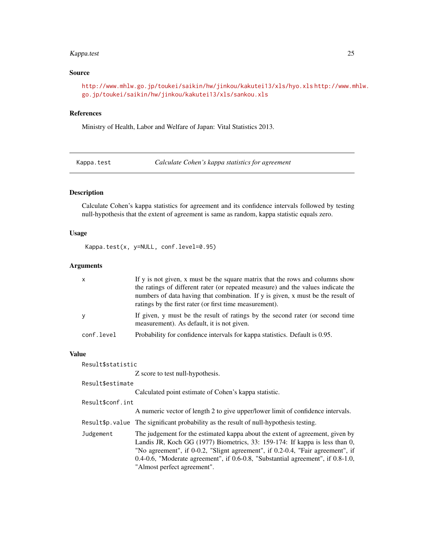# <span id="page-24-0"></span>Kappa.test 25

#### Source

<http://www.mhlw.go.jp/toukei/saikin/hw/jinkou/kakutei13/xls/hyo.xls> [http://www.m](http://www.mhlw.go.jp/toukei/saikin/hw/jinkou/kakutei13/xls/sankou.xls)hlw. [go.jp/toukei/saikin/hw/jinkou/kakutei13/xls/sankou.xls](http://www.mhlw.go.jp/toukei/saikin/hw/jinkou/kakutei13/xls/sankou.xls)

#### References

Ministry of Health, Labor and Welfare of Japan: Vital Statistics 2013.

Kappa.test *Calculate Cohen's kappa statistics for agreement*

#### Description

Calculate Cohen's kappa statistics for agreement and its confidence intervals followed by testing null-hypothesis that the extent of agreement is same as random, kappa statistic equals zero.

#### Usage

Kappa.test(x, y=NULL, conf.level=0.95)

#### Arguments

| $\times$   | If y is not given, x must be the square matrix that the rows and columns show<br>the ratings of different rater (or repeated measure) and the values indicate the<br>numbers of data having that combination. If y is given, x must be the result of<br>ratings by the first rater (or first time measurement). |
|------------|-----------------------------------------------------------------------------------------------------------------------------------------------------------------------------------------------------------------------------------------------------------------------------------------------------------------|
| y          | If given, y must be the result of ratings by the second rater (or second time<br>measurement). As default, it is not given.                                                                                                                                                                                     |
| conf.level | Probability for confidence intervals for kappa statistics. Default is 0.95.                                                                                                                                                                                                                                     |

#### Value

Result\$statistic

Z score to test null-hypothesis.

#### Result\$estimate

Calculated point estimate of Cohen's kappa statistic.

#### Result\$conf.int

A numeric vector of length 2 to give upper/lower limit of confidence intervals.

- Result\$p.value The significant probability as the result of null-hypothesis testing.
- Judgement The judgement for the estimated kappa about the extent of agreement, given by Landis JR, Koch GG (1977) Biometrics, 33: 159-174: If kappa is less than 0, "No agreement", if 0-0.2, "Slignt agreement", if 0.2-0.4, "Fair agreement", if 0.4-0.6, "Moderate agreement", if 0.6-0.8, "Substantial agreement", if 0.8-1.0, "Almost perfect agreement".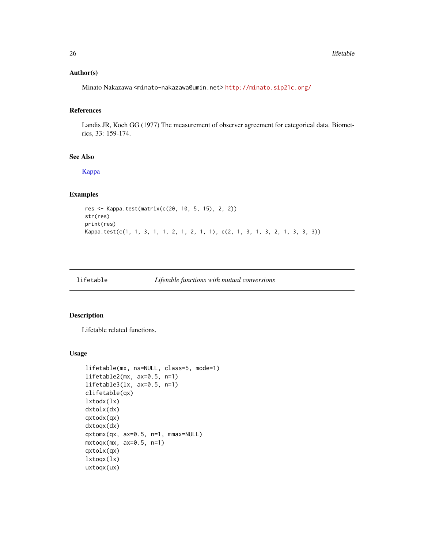### <span id="page-25-0"></span>Author(s)

Minato Nakazawa <minato-nakazawa@umin.net> <http://minato.sip21c.org/>

# References

Landis JR, Koch GG (1977) The measurement of observer agreement for categorical data. Biometrics, 33: 159-174.

# See Also

[Kappa](#page-0-0)

# Examples

```
res <- Kappa.test(matrix(c(20, 10, 5, 15), 2, 2))
str(res)
print(res)
Kappa.test(c(1, 1, 3, 1, 1, 2, 1, 2, 1, 1), c(2, 1, 3, 1, 3, 2, 1, 3, 3, 3))
```
lifetable *Lifetable functions with mutual conversions*

#### Description

Lifetable related functions.

# Usage

```
lifetable(mx, ns=NULL, class=5, mode=1)
lifetable2(mx, ax=0.5, n=1)
lifetable3(lx, ax=0.5, n=1)
clifetable(qx)
lxtodx(lx)
dxtolx(dx)
qxtodx(qx)
dxtoqx(dx)
qxtomx(qx, ax=0.5, n=1, mmax=NULL)
mx\text{toqx(mx, ax=0.5, n=1)}qxtolx(qx)
lxtoqx(lx)
uxtoqx(ux)
```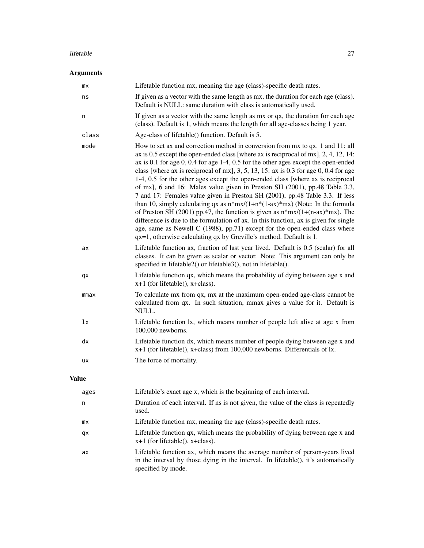#### lifetable 27

# Arguments

| mx    | Lifetable function mx, meaning the age (class)-specific death rates.                                                                                                                                                                                                                                                                                                                                                                                                                                                                                                                                                                                                                                                                                                                                                                                                                                                                                                                                                             |
|-------|----------------------------------------------------------------------------------------------------------------------------------------------------------------------------------------------------------------------------------------------------------------------------------------------------------------------------------------------------------------------------------------------------------------------------------------------------------------------------------------------------------------------------------------------------------------------------------------------------------------------------------------------------------------------------------------------------------------------------------------------------------------------------------------------------------------------------------------------------------------------------------------------------------------------------------------------------------------------------------------------------------------------------------|
| ns    | If given as a vector with the same length as mx, the duration for each age (class).<br>Default is NULL: same duration with class is automatically used.                                                                                                                                                                                                                                                                                                                                                                                                                                                                                                                                                                                                                                                                                                                                                                                                                                                                          |
| n     | If given as a vector with the same length as mx or qx, the duration for each age<br>(class). Default is 1, which means the length for all age-classes being 1 year.                                                                                                                                                                                                                                                                                                                                                                                                                                                                                                                                                                                                                                                                                                                                                                                                                                                              |
| class | Age-class of lifetable() function. Default is 5.                                                                                                                                                                                                                                                                                                                                                                                                                                                                                                                                                                                                                                                                                                                                                                                                                                                                                                                                                                                 |
| mode  | How to set ax and correction method in conversion from mx to qx. 1 and 11: all<br>ax is 0.5 except the open-ended class [where ax is reciprocal of mx], 2, 4, 12, 14:<br>ax is 0.1 for age $0$ , 0.4 for age 1-4, 0.5 for the other ages except the open-ended<br>class [where ax is reciprocal of mx], $3, 5, 13, 15$ : ax is 0.3 for age 0, 0.4 for age<br>1-4, 0.5 for the other ages except the open-ended class [where ax is reciprocal<br>of mx], 6 and 16: Males value given in Preston SH (2001), pp.48 Table 3.3,<br>7 and 17: Females value given in Preston SH (2001), pp.48 Table 3.3. If less<br>than 10, simply calculating qx as $n*mx/(1+n*(1-ax)*mx)$ (Note: In the formula<br>of Preston SH (2001) pp.47, the function is given as $n*mx/(1+(n-ax)*mx)$ . The<br>difference is due to the formulation of ax. In this function, ax is given for single<br>age, same as Newell C (1988), pp.71) except for the open-ended class where<br>$qx=1$ , otherwise calculating $qx$ by Greville's method. Default is 1. |
| ax    | Lifetable function ax, fraction of last year lived. Default is 0.5 (scalar) for all<br>classes. It can be given as scalar or vector. Note: This argument can only be<br>specified in lifetable2() or lifetable3(), not in lifetable().                                                                                                                                                                                                                                                                                                                                                                                                                                                                                                                                                                                                                                                                                                                                                                                           |
| qx    | Lifetable function qx, which means the probability of dying between age x and<br>$x+1$ (for lifetable(), $x+class$ ).                                                                                                                                                                                                                                                                                                                                                                                                                                                                                                                                                                                                                                                                                                                                                                                                                                                                                                            |
| mmax  | To calculate mx from qx, mx at the maximum open-ended age-class cannot be<br>calculated from qx. In such situation, mmax gives a value for it. Default is<br>NULL.                                                                                                                                                                                                                                                                                                                                                                                                                                                                                                                                                                                                                                                                                                                                                                                                                                                               |
| 1x    | Lifetable function lx, which means number of people left alive at age x from<br>100,000 newborns.                                                                                                                                                                                                                                                                                                                                                                                                                                                                                                                                                                                                                                                                                                                                                                                                                                                                                                                                |
| dx    | Lifetable function dx, which means number of people dying between age x and<br>x+1 (for lifetable(), x+class) from 100,000 newborns. Differentials of lx.                                                                                                                                                                                                                                                                                                                                                                                                                                                                                                                                                                                                                                                                                                                                                                                                                                                                        |
| ux    | The force of mortality.                                                                                                                                                                                                                                                                                                                                                                                                                                                                                                                                                                                                                                                                                                                                                                                                                                                                                                                                                                                                          |
|       |                                                                                                                                                                                                                                                                                                                                                                                                                                                                                                                                                                                                                                                                                                                                                                                                                                                                                                                                                                                                                                  |

# Value

| ages | Lifetable's exact age x, which is the beginning of each interval.                                                                                                                       |
|------|-----------------------------------------------------------------------------------------------------------------------------------------------------------------------------------------|
| n    | Duration of each interval. If ns is not given, the value of the class is repeatedly<br>used.                                                                                            |
| mx   | Lifetable function mx, meaning the age (class)-specific death rates.                                                                                                                    |
| qx   | Lifetable function qx, which means the probability of dying between age x and<br>$x+1$ (for lifetable), $x + class$ ).                                                                  |
| ax   | Lifetable function ax, which means the average number of person-years lived<br>in the interval by those dying in the interval. In lifetable(), it's automatically<br>specified by mode. |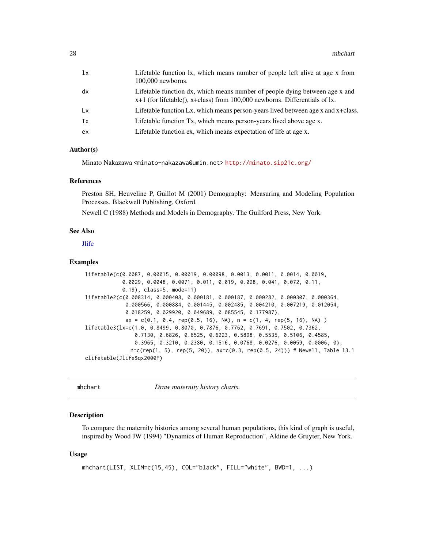<span id="page-27-0"></span>

| 1x | Lifetable function lx, which means number of people left alive at age x from<br>$100,000$ newborns.                                                           |
|----|---------------------------------------------------------------------------------------------------------------------------------------------------------------|
| dx | Lifetable function dx, which means number of people dying between age x and<br>$x+1$ (for lifetable), $x+class$ ) from 100,000 newborns. Differentials of lx. |
| Lx | Lifetable function Lx, which means person-years lived between age x and x+class.                                                                              |
| Tx | Lifetable function Tx, which means person-years lived above age x.                                                                                            |
| ex | Lifetable function ex, which means expectation of life at age x.                                                                                              |

#### Author(s)

Minato Nakazawa <minato-nakazawa@umin.net> <http://minato.sip21c.org/>

#### References

Preston SH, Heuveline P, Guillot M (2001) Demography: Measuring and Modeling Population Processes. Blackwell Publishing, Oxford.

Newell C (1988) Methods and Models in Demography. The Guilford Press, New York.

#### See Also

[Jlife](#page-13-1)

# Examples

```
lifetable(c(0.0087, 0.00015, 0.00019, 0.00098, 0.0013, 0.0011, 0.0014, 0.0019,
            0.0029, 0.0048, 0.0071, 0.011, 0.019, 0.028, 0.041, 0.072, 0.11,
            0.19), class=5, mode=11)
lifetable2(c(0.008314, 0.000408, 0.000181, 0.000187, 0.000282, 0.000307, 0.000364,
             0.000566, 0.000884, 0.001445, 0.002485, 0.004210, 0.007219, 0.012054,
             0.018259, 0.029920, 0.049689, 0.085545, 0.177987),
             ax = c(0.1, 0.4, rep(0.5, 16), NA), n = c(1, 4, rep(5, 16), NA)lifetable3(lx=c(1.0, 0.8499, 0.8070, 0.7876, 0.7762, 0.7691, 0.7502, 0.7362,
                0.7130, 0.6826, 0.6525, 0.6223, 0.5898, 0.5535, 0.5106, 0.4585,
                0.3965, 0.3210, 0.2380, 0.1516, 0.0768, 0.0276, 0.0059, 0.0006, 0),
              n = c(rep(1, 5), rep(5, 20)), ax = c(0.3, rep(0.5, 24))) # Newell, Table 13.1
clifetable(Jlife$qx2000F)
```
mhchart *Draw maternity history charts.*

#### **Description**

To compare the maternity histories among several human populations, this kind of graph is useful, inspired by Wood JW (1994) "Dynamics of Human Reproduction", Aldine de Gruyter, New York.

#### Usage

```
mhchart(LIST, XLIM=c(15,45), COL="black", FILL="white", BWD=1, ...)
```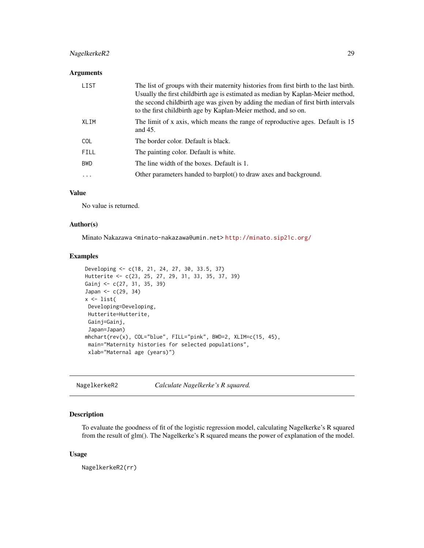# <span id="page-28-0"></span>NagelkerkeR2 29

# Arguments

| LIST        | The list of groups with their maternity histories from first birth to the last birth.<br>Usually the first child birth age is estimated as median by Kaplan-Meier method,<br>the second child birth age was given by adding the median of first birth intervals<br>to the first childbirth age by Kaplan-Meier method, and so on. |
|-------------|-----------------------------------------------------------------------------------------------------------------------------------------------------------------------------------------------------------------------------------------------------------------------------------------------------------------------------------|
| XLIM        | The limit of x axis, which means the range of reproductive ages. Default is 15<br>and $45$ .                                                                                                                                                                                                                                      |
| <b>COL</b>  | The border color. Default is black.                                                                                                                                                                                                                                                                                               |
| <b>FILL</b> | The painting color. Default is white.                                                                                                                                                                                                                                                                                             |
| <b>BWD</b>  | The line width of the boxes. Default is 1.                                                                                                                                                                                                                                                                                        |
| .           | Other parameters handed to barplot() to draw axes and background.                                                                                                                                                                                                                                                                 |

# Value

No value is returned.

# Author(s)

Minato Nakazawa <minato-nakazawa@umin.net> <http://minato.sip21c.org/>

# Examples

```
Developing <- c(18, 21, 24, 27, 30, 33.5, 37)
Hutterite <- c(23, 25, 27, 29, 31, 33, 35, 37, 39)
Gainj <- c(27, 31, 35, 39)
Japan <- c(29, 34)
x \leftarrow list(
Developing=Developing,
Hutterite=Hutterite,
Gainj=Gainj,
 Japan=Japan)
mhchart(rev(x), COL="blue", FILL="pink", BWD=2, XLIM=c(15, 45),
 main="Maternity histories for selected populations",
 xlab="Maternal age (years)")
```
NagelkerkeR2 *Calculate Nagelkerke's R squared.*

# Description

To evaluate the goodness of fit of the logistic regression model, calculating Nagelkerke's R squared from the result of glm(). The Nagelkerke's R squared means the power of explanation of the model.

#### Usage

NagelkerkeR2(rr)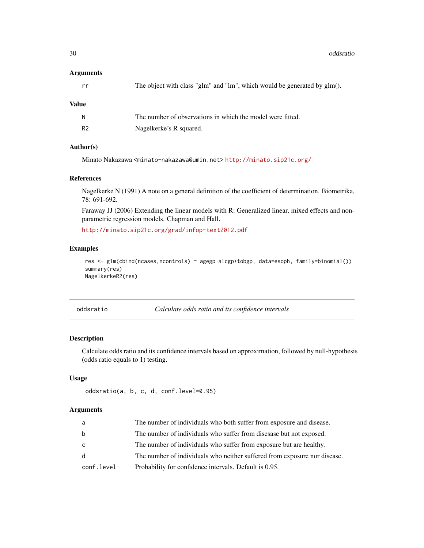30 oddsratio

#### Arguments

| The object with class "glm" and "lm", which would be generated by glm(). |
|--------------------------------------------------------------------------|
|--------------------------------------------------------------------------|

#### Value

|    | The number of observations in which the model were fitted. |
|----|------------------------------------------------------------|
| R2 | Nagelkerke's R squared.                                    |

# Author(s)

Minato Nakazawa <minato-nakazawa@umin.net> <http://minato.sip21c.org/>

# References

Nagelkerke N (1991) A note on a general definition of the coefficient of determination. Biometrika, 78: 691-692.

Faraway JJ (2006) Extending the linear models with R: Generalized linear, mixed effects and nonparametric regression models. Chapman and Hall.

<http://minato.sip21c.org/grad/infop-text2012.pdf>

# Examples

res <- glm(cbind(ncases,ncontrols) ~ agegp+alcgp+tobgp, data=esoph, family=binomial()) summary(res) NagelkerkeR2(res)

oddsratio *Calculate odds ratio and its confidence intervals*

# Description

Calculate odds ratio and its confidence intervals based on approximation, followed by null-hypothesis (odds ratio equals to 1) testing.

#### Usage

```
oddsratio(a, b, c, d, conf.level=0.95)
```
# Arguments

| a          | The number of individuals who both suffer from exposure and disease.      |
|------------|---------------------------------------------------------------------------|
| b          | The number of individuals who suffer from dises as but not exposed.       |
| C          | The number of individuals who suffer from exposure but are healthy.       |
| d          | The number of individuals who neither suffered from exposure nor disease. |
| conf.level | Probability for confidence intervals. Default is 0.95.                    |
|            |                                                                           |

<span id="page-29-0"></span>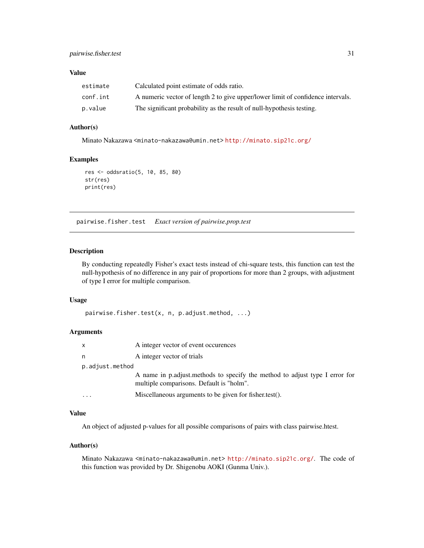# <span id="page-30-0"></span>Value

| estimate | Calculated point estimate of odds ratio.                                        |
|----------|---------------------------------------------------------------------------------|
| conf.int | A numeric vector of length 2 to give upper/lower limit of confidence intervals. |
| p.value  | The significant probability as the result of null-hypothesis testing.           |

# Author(s)

Minato Nakazawa <minato-nakazawa@umin.net> <http://minato.sip21c.org/>

# Examples

```
res <- oddsratio(5, 10, 85, 80)
str(res)
print(res)
```
pairwise.fisher.test *Exact version of pairwise.prop.test*

# Description

By conducting repeatedly Fisher's exact tests instead of chi-square tests, this function can test the null-hypothesis of no difference in any pair of proportions for more than 2 groups, with adjustment of type I error for multiple comparison.

#### Usage

```
pairwise.fisher.test(x, n, p.adjust.method, ...)
```
#### Arguments

| X                 | A integer vector of event occurences                                                                                    |
|-------------------|-------------------------------------------------------------------------------------------------------------------------|
| n                 | A integer vector of trials                                                                                              |
| p.adjust.method   |                                                                                                                         |
|                   | A name in p.adjust.methods to specify the method to adjust type I error for<br>multiple comparisons. Default is "holm". |
| $\cdot\cdot\cdot$ | Miscellaneous arguments to be given for fisher.test().                                                                  |

# Value

An object of adjusted p-values for all possible comparisons of pairs with class pairwise.htest.

#### Author(s)

Minato Nakazawa <minato-nakazawa@umin.net> <http://minato.sip21c.org/>. The code of this function was provided by Dr. Shigenobu AOKI (Gunma Univ.).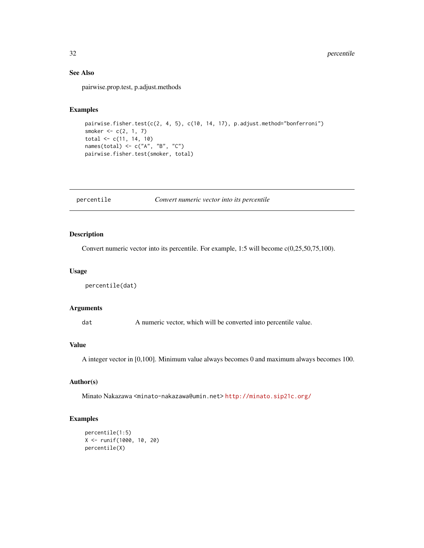# See Also

pairwise.prop.test, p.adjust.methods

#### Examples

```
pairwise.fisher.test(c(2, 4, 5), c(10, 14, 17), p.adjust.method="bonferroni")
smoker <-c(2, 1, 7)total <- c(11, 14, 10)
names(total) <- c("A", "B", "C")
pairwise.fisher.test(smoker, total)
```
percentile *Convert numeric vector into its percentile*

# Description

Convert numeric vector into its percentile. For example, 1:5 will become c(0,25,50,75,100).

#### Usage

```
percentile(dat)
```
# Arguments

dat A numeric vector, which will be converted into percentile value.

#### Value

A integer vector in [0,100]. Minimum value always becomes 0 and maximum always becomes 100.

#### Author(s)

Minato Nakazawa <minato-nakazawa@umin.net> <http://minato.sip21c.org/>

```
percentile(1:5)
X <- runif(1000, 10, 20)
percentile(X)
```
<span id="page-31-0"></span>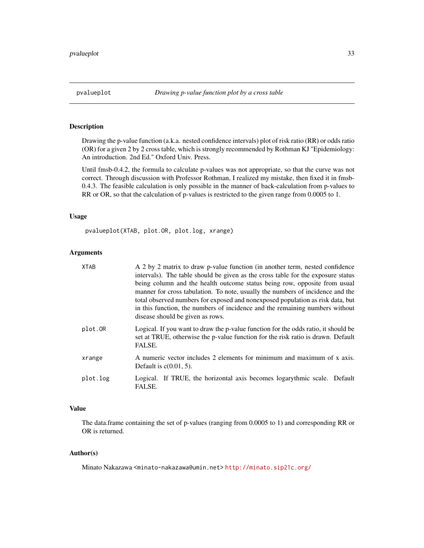<span id="page-32-0"></span>

Drawing the p-value function (a.k.a. nested confidence intervals) plot of risk ratio (RR) or odds ratio (OR) for a given 2 by 2 cross table, which is strongly recommended by Rothman KJ "Epidemiology: An introduction. 2nd Ed." Oxford Univ. Press.

Until fmsb-0.4.2, the formula to calculate p-values was not appropriate, so that the curve was not correct. Through discussion with Professor Rothman, I realized my mistake, then fixed it in fmsb-0.4.3. The feasible calculation is only possible in the manner of back-calculation from p-values to RR or OR, so that the calculation of p-values is restricted to the given range from 0.0005 to 1.

# Usage

pvalueplot(XTAB, plot.OR, plot.log, xrange)

# Arguments

| <b>XTAB</b> | A 2 by 2 matrix to draw p-value function (in another term, nested confidence<br>intervals). The table should be given as the cross table for the exposure status<br>being column and the health outcome status being row, opposite from usual<br>manner for cross tabulation. To note, usually the numbers of incidence and the<br>total observed numbers for exposed and nonexposed population as risk data, but<br>in this function, the numbers of incidence and the remaining numbers without<br>disease should be given as rows. |
|-------------|---------------------------------------------------------------------------------------------------------------------------------------------------------------------------------------------------------------------------------------------------------------------------------------------------------------------------------------------------------------------------------------------------------------------------------------------------------------------------------------------------------------------------------------|
| plot.OR     | Logical. If you want to draw the p-value function for the odds ratio, it should be<br>set at TRUE, otherwise the p-value function for the risk ratio is drawn. Default<br>FALSE.                                                                                                                                                                                                                                                                                                                                                      |
| xrange      | A numeric vector includes 2 elements for minimum and maximum of x axis.<br>Default is $c(0.01, 5)$ .                                                                                                                                                                                                                                                                                                                                                                                                                                  |
| plot.log    | Logical. If TRUE, the horizontal axis becomes logarythmic scale. Default<br>FALSE.                                                                                                                                                                                                                                                                                                                                                                                                                                                    |

#### Value

The data.frame containing the set of p-values (ranging from 0.0005 to 1) and corresponding RR or OR is returned.

#### Author(s)

Minato Nakazawa <minato-nakazawa@umin.net> <http://minato.sip21c.org/>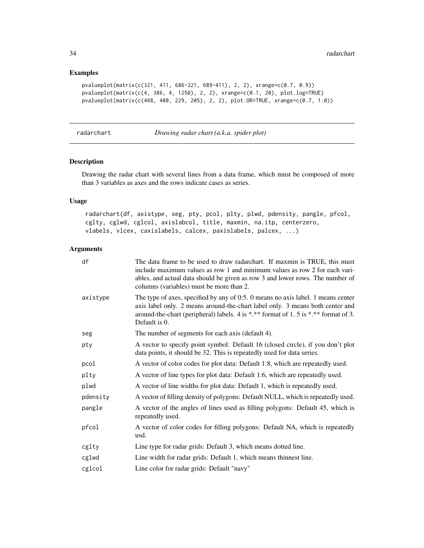# Examples

```
pvalueplot(matrix(c(321, 411, 686-321, 689-411), 2, 2), xrange=c(0.7, 0.9))
pvalueplot(matrix(c(4, 386, 4, 1250), 2, 2), xrange=c(0.1, 20), plot.log=TRUE)
pvalueplot(matrix(c(468, 480, 229, 205), 2, 2), plot.OR=TRUE, xrange=c(0.7, 1.0))
```
radarchart *Drawing radar chart (a.k.a. spider plot)*

# Description

Drawing the radar chart with several lines from a data frame, which must be composed of more than 3 variables as axes and the rows indicate cases as series.

# Usage

radarchart(df, axistype, seg, pty, pcol, plty, plwd, pdensity, pangle, pfcol, cglty, cglwd, cglcol, axislabcol, title, maxmin, na.itp, centerzero, vlabels, vlcex, caxislabels, calcex, paxislabels, palcex, ...)

# Arguments

| df       | The data frame to be used to draw radarchart. If maxmin is TRUE, this must<br>include maximum values as row 1 and minimum values as row 2 for each vari-<br>ables, and actual data should be given as row 3 and lower rows. The number of<br>columns (variables) must be more than 2. |
|----------|---------------------------------------------------------------------------------------------------------------------------------------------------------------------------------------------------------------------------------------------------------------------------------------|
| axistype | The type of axes, specified by any of 0:5. 0 means no axis label. 1 means center<br>axis label only. 2 means around-the-chart label only. 3 means both center and<br>around-the-chart (peripheral) labels. 4 is *.** format of 1, 5 is *.** format of 3.<br>Default is 0.             |
| seg      | The number of segments for each axis (default 4).                                                                                                                                                                                                                                     |
| pty      | A vector to specify point symbol: Default 16 (closed circle), if you don't plot<br>data points, it should be 32. This is repeatedly used for data series.                                                                                                                             |
| pcol     | A vector of color codes for plot data: Default 1:8, which are repeatedly used.                                                                                                                                                                                                        |
| plty     | A vector of line types for plot data: Default 1:6, which are repeatedly used.                                                                                                                                                                                                         |
| plwd     | A vector of line widths for plot data: Default 1, which is repeatedly used.                                                                                                                                                                                                           |
| pdensity | A vector of filling density of polygons: Default NULL, which is repeatedly used.                                                                                                                                                                                                      |
| pangle   | A vector of the angles of lines used as filling polygons: Default 45, which is<br>repeatedly used.                                                                                                                                                                                    |
| pfcol    | A vector of color codes for filling polygons: Default NA, which is repeatedly<br>usd.                                                                                                                                                                                                 |
| cglty    | Line type for radar grids: Default 3, which means dotted line.                                                                                                                                                                                                                        |
| cglwd    | Line width for radar grids: Default 1, which means thinnest line.                                                                                                                                                                                                                     |
| cglcol   | Line color for radar grids: Default "navy"                                                                                                                                                                                                                                            |

<span id="page-33-0"></span>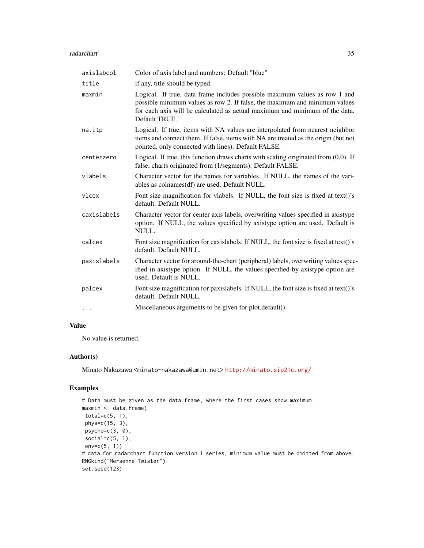#### radarchart 35

| axislabcol  | Color of axis label and numbers: Default "blue"                                                                                                                                                                                                          |
|-------------|----------------------------------------------------------------------------------------------------------------------------------------------------------------------------------------------------------------------------------------------------------|
| title       | if any, title should be typed.                                                                                                                                                                                                                           |
| maxmin      | Logical. If true, data frame includes possible maximum values as row 1 and<br>possible minimum values as row 2. If false, the maximum and minimum values<br>for each axis will be calculated as actual maximum and minimum of the data.<br>Default TRUE. |
| na.itp      | Logical. If true, items with NA values are interpolated from nearest neighbor<br>items and connect them. If false, items with NA are treated as the origin (but not<br>pointed, only connected with lines). Default FALSE.                               |
| centerzero  | Logical. If true, this function draws charts with scaling originated from $(0,0)$ . If<br>false, charts originated from (1/segments). Default FALSE.                                                                                                     |
| vlabels     | Character vector for the names for variables. If NULL, the names of the vari-<br>ables as colnames(df) are used. Default NULL.                                                                                                                           |
| vlcex       | Font size magnification for vlabels. If NULL, the font size is fixed at text()'s<br>default. Default NULL.                                                                                                                                               |
| caxislabels | Character vector for center axis labels, overwriting values specified in axistype<br>option. If NULL, the values specified by axistype option are used. Default is<br>NULL.                                                                              |
| calcex      | Font size magnification for caxislabels. If NULL, the font size is fixed at text()'s<br>default. Default NULL.                                                                                                                                           |
| paxislabels | Character vector for around-the-chart (peripheral) labels, overwriting values spec-<br>ified in axistype option. If NULL, the values specified by axistype option are<br>used. Default is NULL.                                                          |
| palcex      | Font size magnification for paxislabels. If NULL, the font size is fixed at text()'s<br>default. Default NULL.                                                                                                                                           |
| .           | Miscellaneous arguments to be given for plot.default().                                                                                                                                                                                                  |

# Value

No value is returned.

# Author(s)

Minato Nakazawa <minato-nakazawa@umin.net> <http://minato.sip21c.org/>

```
# Data must be given as the data frame, where the first cases show maximum.
maxmin <- data.frame(
total=c(5, 1),phys=c(15, 3),
psycho=c(3, 0),
 social=c(5, 1),
env = c(5, 1)# data for radarchart function version 1 series, minimum value must be omitted from above.
RNGkind("Mersenne-Twister")
set.seed(123)
```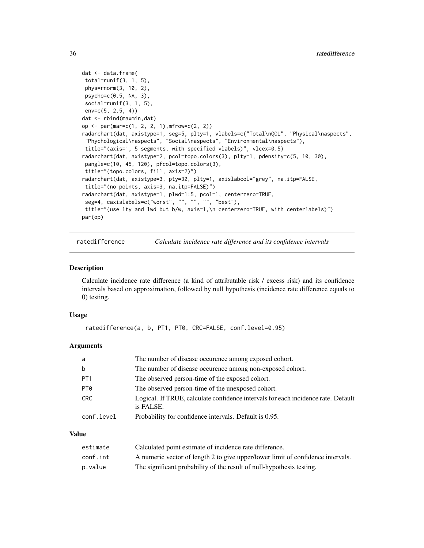```
dat <- data.frame(
total=runif(3, 1, 5),
phys=rnorm(3, 10, 2),
psycho=c(0.5, NA, 3),
social=runif(3, 1, 5),
env=c(5, 2.5, 4))
dat <- rbind(maxmin,dat)
op <- par(mar=c(1, 2, 2, 1),mfrow=c(2, 2))
radarchart(dat, axistype=1, seg=5, plty=1, vlabels=c("Total\nQOL", "Physical\naspects",
 "Phychological\naspects", "Social\naspects", "Environmental\naspects"),
title="(axis=1, 5 segments, with specified vlabels)", vlcex=0.5)
radarchart(dat, axistype=2, pcol=topo.colors(3), plty=1, pdensity=c(5, 10, 30),
pangle=c(10, 45, 120), pfcol=topo.colors(3),
 title="(topo.colors, fill, axis=2)")
radarchart(dat, axistype=3, pty=32, plty=1, axislabcol="grey", na.itp=FALSE,
title="(no points, axis=3, na.itp=FALSE)")
radarchart(dat, axistype=1, plwd=1:5, pcol=1, centerzero=TRUE,
seg=4, caxislabels=c("worst", "", "", "", "best"),
title="(use lty and lwd but b/w, axis=1,\n centerzero=TRUE, with centerlabels)")
par(op)
```
ratedifference *Calculate incidence rate difference and its confidence intervals*

#### Description

Calculate incidence rate difference (a kind of attributable risk / excess risk) and its confidence intervals based on approximation, followed by null hypothesis (incidence rate difference equals to 0) testing.

#### Usage

```
ratedifference(a, b, PT1, PT0, CRC=FALSE, conf.level=0.95)
```
#### Arguments

| a               | The number of disease occurence among exposed cohort.                                          |
|-----------------|------------------------------------------------------------------------------------------------|
| b               | The number of disease occurence among non-exposed cohort.                                      |
| PT <sub>1</sub> | The observed person-time of the exposed cohort.                                                |
| PT0             | The observed person-time of the unexposed cohort.                                              |
| CRC             | Logical. If TRUE, calculate confidence intervals for each incidence rate. Default<br>is FALSE. |
| conf.level      | Probability for confidence intervals. Default is 0.95.                                         |

#### Value

| estimate | Calculated point estimate of incidence rate difference.                         |
|----------|---------------------------------------------------------------------------------|
| conf.int | A numeric vector of length 2 to give upper/lower limit of confidence intervals. |
| p.value  | The significant probability of the result of null-hypothesis testing.           |

<span id="page-35-0"></span>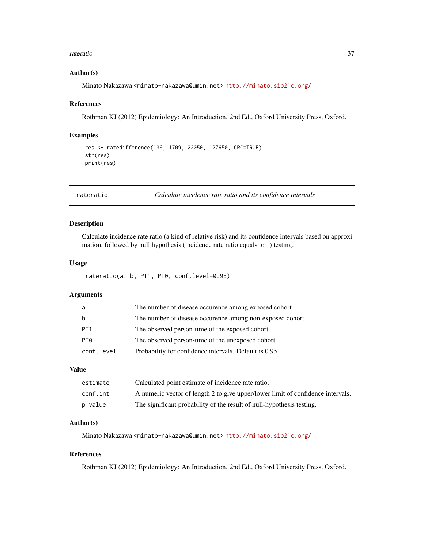#### <span id="page-36-0"></span>rateratio 37

#### Author(s)

Minato Nakazawa <minato-nakazawa@umin.net> <http://minato.sip21c.org/>

#### References

Rothman KJ (2012) Epidemiology: An Introduction. 2nd Ed., Oxford University Press, Oxford.

#### Examples

```
res <- ratedifference(136, 1709, 22050, 127650, CRC=TRUE)
str(res)
print(res)
```
rateratio *Calculate incidence rate ratio and its confidence intervals*

# Description

Calculate incidence rate ratio (a kind of relative risk) and its confidence intervals based on approximation, followed by null hypothesis (incidence rate ratio equals to 1) testing.

# Usage

```
rateratio(a, b, PT1, PT0, conf.level=0.95)
```
# Arguments

| a               | The number of disease occurence among exposed cohort.     |
|-----------------|-----------------------------------------------------------|
| <sub>b</sub>    | The number of disease occurence among non-exposed cohort. |
| PT <sub>1</sub> | The observed person-time of the exposed cohort.           |
| PT0             | The observed person-time of the unexposed cohort.         |
| conf.level      | Probability for confidence intervals. Default is 0.95.    |

# Value

| estimate | Calculated point estimate of incidence rate ratio.                              |
|----------|---------------------------------------------------------------------------------|
| conf.int | A numeric vector of length 2 to give upper/lower limit of confidence intervals. |
| p.value  | The significant probability of the result of null-hypothesis testing.           |

#### Author(s)

Minato Nakazawa <minato-nakazawa@umin.net> <http://minato.sip21c.org/>

# References

Rothman KJ (2012) Epidemiology: An Introduction. 2nd Ed., Oxford University Press, Oxford.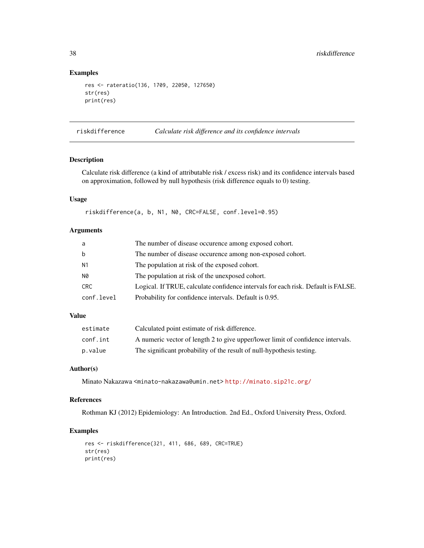# Examples

```
res <- rateratio(136, 1709, 22050, 127650)
str(res)
print(res)
```
riskdifference *Calculate risk difference and its confidence intervals*

# Description

Calculate risk difference (a kind of attributable risk / excess risk) and its confidence intervals based on approximation, followed by null hypothesis (risk difference equals to 0) testing.

#### Usage

riskdifference(a, b, N1, N0, CRC=FALSE, conf.level=0.95)

#### Arguments

| a          | The number of disease occurence among exposed cohort.                             |
|------------|-----------------------------------------------------------------------------------|
| b          | The number of disease occurence among non-exposed cohort.                         |
| N1         | The population at risk of the exposed cohort.                                     |
| N0         | The population at risk of the unexposed cohort.                                   |
| CRC        | Logical. If TRUE, calculate confidence intervals for each risk. Default is FALSE. |
| conf.level | Probability for confidence intervals. Default is 0.95.                            |

# Value

| estimate | Calculated point estimate of risk difference.                                   |
|----------|---------------------------------------------------------------------------------|
| conf.int | A numeric vector of length 2 to give upper/lower limit of confidence intervals. |
| p.value  | The significant probability of the result of null-hypothesis testing.           |

# Author(s)

Minato Nakazawa <minato-nakazawa@umin.net> <http://minato.sip21c.org/>

# References

Rothman KJ (2012) Epidemiology: An Introduction. 2nd Ed., Oxford University Press, Oxford.

```
res <- riskdifference(321, 411, 686, 689, CRC=TRUE)
str(res)
print(res)
```
<span id="page-37-0"></span>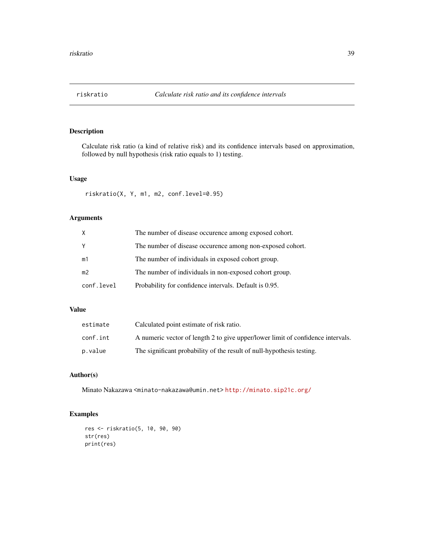<span id="page-38-0"></span>

Calculate risk ratio (a kind of relative risk) and its confidence intervals based on approximation, followed by null hypothesis (risk ratio equals to 1) testing.

# Usage

riskratio(X, Y, m1, m2, conf.level=0.95)

# Arguments

| X              | The number of disease occurence among exposed cohort.     |
|----------------|-----------------------------------------------------------|
| $\mathsf{Y}$   | The number of disease occurence among non-exposed cohort. |
| m1             | The number of individuals in exposed cohort group.        |
| m <sub>2</sub> | The number of individuals in non-exposed cohort group.    |
| conf.level     | Probability for confidence intervals. Default is 0.95.    |

# Value

| estimate | Calculated point estimate of risk ratio.                                        |
|----------|---------------------------------------------------------------------------------|
| conf.int | A numeric vector of length 2 to give upper/lower limit of confidence intervals. |
| p.value  | The significant probability of the result of null-hypothesis testing.           |

# Author(s)

Minato Nakazawa <minato-nakazawa@umin.net> <http://minato.sip21c.org/>

```
res <- riskratio(5, 10, 90, 90)
str(res)
print(res)
```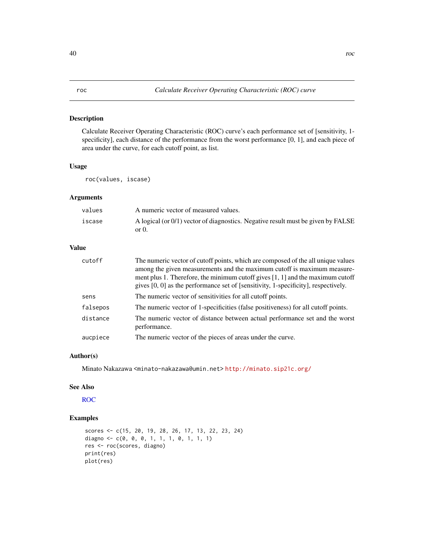<span id="page-39-0"></span>Calculate Receiver Operating Characteristic (ROC) curve's each performance set of [sensitivity, 1 specificity], each distance of the performance from the worst performance [0, 1], and each piece of area under the curve, for each cutoff point, as list.

#### Usage

roc(values, iscase)

# Arguments

| values | A numeric vector of measured values.                                                         |
|--------|----------------------------------------------------------------------------------------------|
| iscase | A logical (or $0/1$ ) vector of diagnostics. Negative result must be given by FALSE<br>or 0. |

# Value

| cutoff   | The numeric vector of cutoff points, which are composed of the all unique values<br>among the given measurements and the maximum cutoff is maximum measure-<br>ment plus 1. Therefore, the minimum cutoff gives $[1, 1]$ and the maximum cutoff<br>gives [0, 0] as the performance set of [sensitivity, 1-specificity], respectively. |
|----------|---------------------------------------------------------------------------------------------------------------------------------------------------------------------------------------------------------------------------------------------------------------------------------------------------------------------------------------|
| sens     | The numeric vector of sensitivities for all cutoff points.                                                                                                                                                                                                                                                                            |
| falsepos | The numeric vector of 1-specificities (false positiveness) for all cutoff points.                                                                                                                                                                                                                                                     |
| distance | The numeric vector of distance between actual performance set and the worst<br>performance.                                                                                                                                                                                                                                           |
| aucpiece | The numeric vector of the pieces of areas under the curve.                                                                                                                                                                                                                                                                            |

# Author(s)

Minato Nakazawa <minato-nakazawa@umin.net> <http://minato.sip21c.org/>

#### See Also

[ROC](#page-0-0)

```
scores <- c(15, 20, 19, 28, 26, 17, 13, 22, 23, 24)
diagno \leq -c(0, 0, 0, 1, 1, 1, 0, 1, 1, 1)res <- roc(scores, diagno)
print(res)
plot(res)
```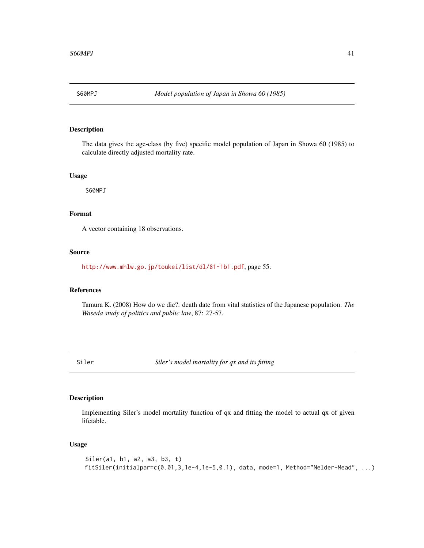<span id="page-40-0"></span>

The data gives the age-class (by five) specific model population of Japan in Showa 60 (1985) to calculate directly adjusted mortality rate.

#### Usage

S60MPJ

# Format

A vector containing 18 observations.

# Source

<http://www.mhlw.go.jp/toukei/list/dl/81-1b1.pdf>, page 55.

# References

Tamura K. (2008) How do we die?: death date from vital statistics of the Japanese population. *The Waseda study of politics and public law*, 87: 27-57.

Siler *Siler's model mortality for qx and its fitting*

#### Description

Implementing Siler's model mortality function of qx and fitting the model to actual qx of given lifetable.

#### Usage

```
Siler(a1, b1, a2, a3, b3, t)
fitSiler(initialpar=c(0.01,3,1e-4,1e-5,0.1), data, mode=1, Method="Nelder-Mead", ...)
```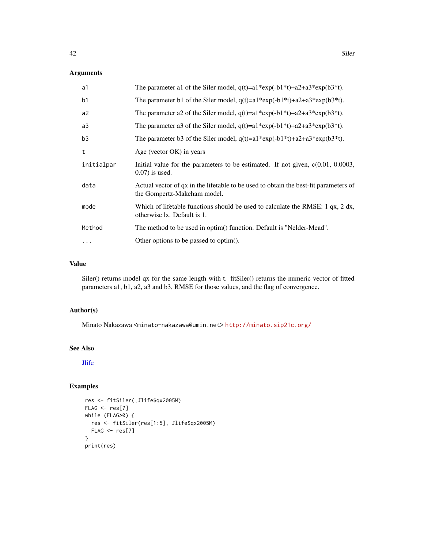#### <span id="page-41-0"></span>Arguments

| a1             | The parameter a1 of the Siler model, $q(t)=a1*exp(-b1*t)+a2+a3*exp(b3*t)$ .                                         |
|----------------|---------------------------------------------------------------------------------------------------------------------|
| b <sub>1</sub> | The parameter b1 of the Siler model, $q(t)=a1*exp(-b1*t)+a2+a3*exp(b3*t)$ .                                         |
| a2             | The parameter a2 of the Siler model, $q(t)=a1*exp(-b1*t)+a2+a3*exp(b3*t)$ .                                         |
| a <sub>3</sub> | The parameter a3 of the Siler model, $q(t)=a1*exp(-b1*t)+a2+a3*exp(b3*t)$ .                                         |
| b <sub>3</sub> | The parameter b3 of the Siler model, $q(t)=a1*exp(-b1*t)+a2+a3*exp(b3*t)$ .                                         |
| t              | Age (vector OK) in years                                                                                            |
| initialpar     | Initial value for the parameters to be estimated. If not given, $c(0.01, 0.0003,$<br>$(0.07)$ is used.              |
| data           | Actual vector of qx in the lifetable to be used to obtain the best-fit parameters of<br>the Gompertz-Makeham model. |
| mode           | Which of lifetable functions should be used to calculate the RMSE: 1 $qx$ , 2 dx,<br>otherwise lx. Default is 1.    |
| Method         | The method to be used in optim() function. Default is "Nelder-Mead".                                                |
| $\cdots$       | Other options to be passed to optim().                                                                              |

# Value

Siler() returns model qx for the same length with t. fitSiler() returns the numeric vector of fitted parameters a1, b1, a2, a3 and b3, RMSE for those values, and the flag of convergence.

#### Author(s)

Minato Nakazawa <minato-nakazawa@umin.net> <http://minato.sip21c.org/>

# See Also

[Jlife](#page-13-1)

```
res <- fitSiler(,Jlife$qx2005M)
FLAG < - res[7]while (FLAG>0) {
 res <- fitSiler(res[1:5], Jlife$qx2005M)
 FLAG <- res[7]
}
print(res)
```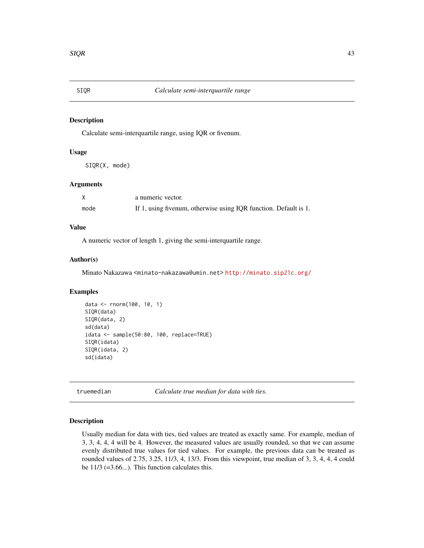<span id="page-42-0"></span>

Calculate semi-interquartile range, using IQR or fivenum.

# Usage

SIQR(X, mode)

#### Arguments

|      | a numeric vector.                                                |
|------|------------------------------------------------------------------|
| mode | If 1, using fivenum, otherwise using IQR function. Default is 1. |

# Value

A numeric vector of length 1, giving the semi-interquartile range.

#### Author(s)

Minato Nakazawa <minato-nakazawa@umin.net> <http://minato.sip21c.org/>

#### Examples

```
data <- rnorm(100, 10, 1)
SIQR(data)
SIQR(data, 2)
sd(data)
idata <- sample(50:80, 100, replace=TRUE)
SIQR(idata)
SIQR(idata, 2)
sd(idata)
```
truemedian *Calculate true median for data with ties.*

#### Description

Usually median for data with ties, tied values are treated as exactly same. For example, median of 3, 3, 4, 4, 4 will be 4. However, the measured values are usually rounded, so that we can assume evenly distributed true values for tied values. For example, the previous data can be treated as rounded values of 2.75, 3.25, 11/3, 4, 13/3. From this viewpoint, true median of 3, 3, 4, 4, 4 could be  $11/3$  (=3.66...). This function calculates this.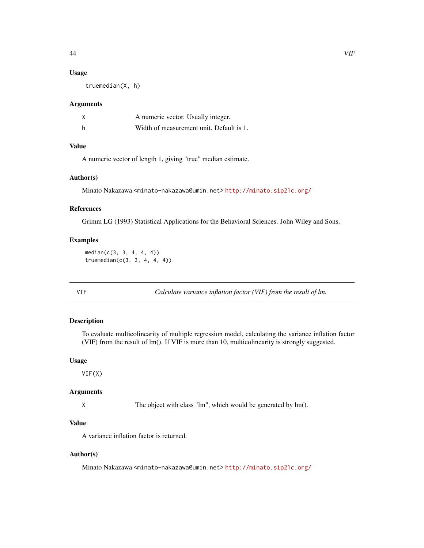#### <span id="page-43-0"></span>Usage

truemedian(X, h)

#### Arguments

|   | A numeric vector. Usually integer.       |
|---|------------------------------------------|
| h | Width of measurement unit. Default is 1. |

#### Value

A numeric vector of length 1, giving "true" median estimate.

#### Author(s)

Minato Nakazawa <minato-nakazawa@umin.net> <http://minato.sip21c.org/>

# References

Grimm LG (1993) Statistical Applications for the Behavioral Sciences. John Wiley and Sons.

# Examples

```
median(c(3, 3, 4, 4, 4))truemedian(c(3, 3, 4, 4, 4))
```
VIF *Calculate variance inflation factor (VIF) from the result of lm.*

#### Description

To evaluate multicolinearity of multiple regression model, calculating the variance inflation factor (VIF) from the result of lm(). If VIF is more than 10, multicolinearity is strongly suggested.

#### Usage

VIF(X)

### Arguments

X The object with class "lm", which would be generated by lm().

#### Value

A variance inflation factor is returned.

#### Author(s)

Minato Nakazawa <minato-nakazawa@umin.net> <http://minato.sip21c.org/>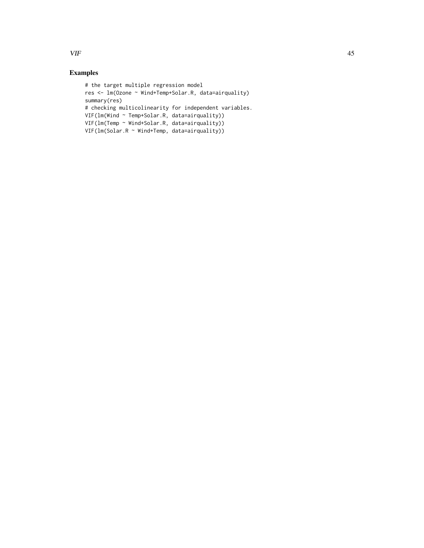$VIF$  45

```
# the target multiple regression model
res <- lm(Ozone ~ Wind+Temp+Solar.R, data=airquality)
summary(res)
# checking multicolinearity for independent variables.
VIF(lm(Wind ~ Temp+Solar.R, data=airquality))
VIF(lm(Temp ~ Wind+Solar.R, data=airquality))
VIF(lm(Solar.R ~ Wind+Temp, data=airquality))
```